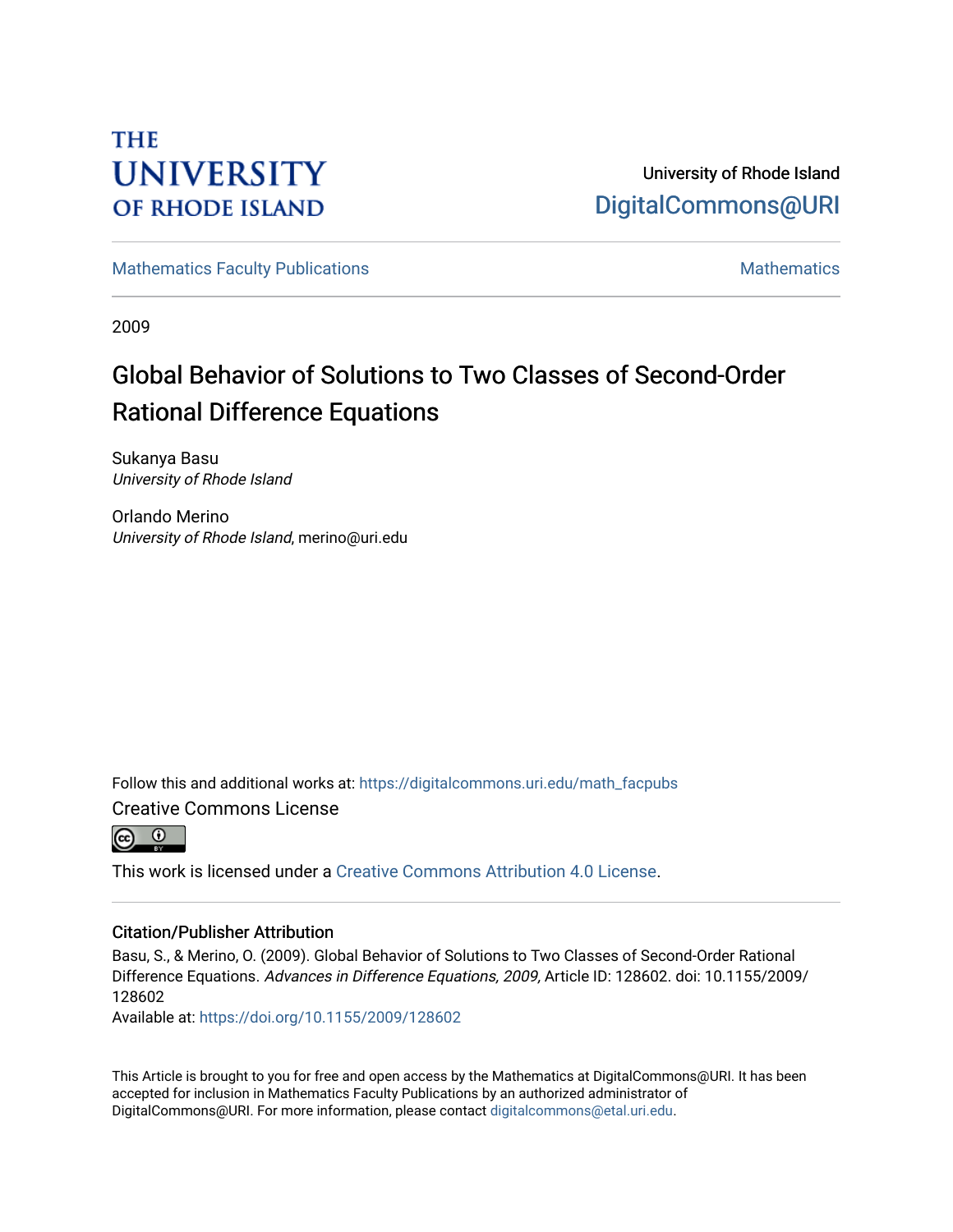# **THE UNIVERSITY OF RHODE ISLAND**

University of Rhode Island [DigitalCommons@URI](https://digitalcommons.uri.edu/) 

[Mathematics Faculty Publications](https://digitalcommons.uri.edu/math_facpubs) [Mathematics](https://digitalcommons.uri.edu/math) Mathematics Mathematics

2009

# Global Behavior of Solutions to Two Classes of Second-Order Rational Difference Equations

Sukanya Basu University of Rhode Island

Orlando Merino University of Rhode Island, merino@uri.edu

Follow this and additional works at: [https://digitalcommons.uri.edu/math\\_facpubs](https://digitalcommons.uri.edu/math_facpubs?utm_source=digitalcommons.uri.edu%2Fmath_facpubs%2F46&utm_medium=PDF&utm_campaign=PDFCoverPages) 

Creative Commons License



This work is licensed under a [Creative Commons Attribution 4.0 License](https://creativecommons.org/licenses/by/4.0/).

### Citation/Publisher Attribution

Basu, S., & Merino, O. (2009). Global Behavior of Solutions to Two Classes of Second-Order Rational Difference Equations. Advances in Difference Equations, 2009, Article ID: 128602. doi: 10.1155/2009/ 128602

Available at:<https://doi.org/10.1155/2009/128602>

This Article is brought to you for free and open access by the Mathematics at DigitalCommons@URI. It has been accepted for inclusion in Mathematics Faculty Publications by an authorized administrator of DigitalCommons@URI. For more information, please contact [digitalcommons@etal.uri.edu.](mailto:digitalcommons@etal.uri.edu)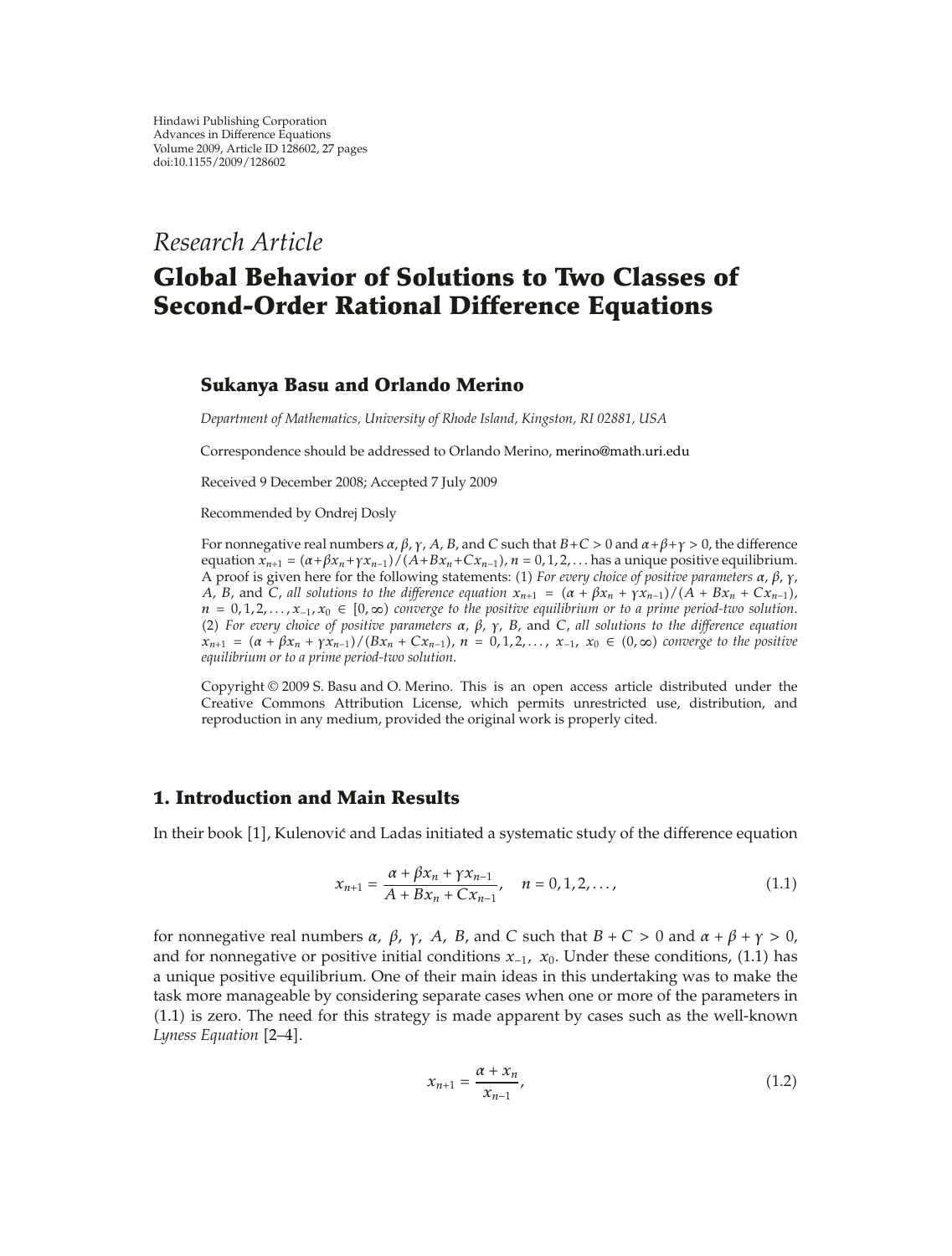*Research Article*

## **Global Behavior of Solutions to Two Classes of Second-Order Rational Difference Equations**

### **Sukanya Basu and Orlando Merino**

*Department of Mathematics, University of Rhode Island, Kingston, RI 02881, USA*

Correspondence should be addressed to Orlando Merino, merino@math.uri.edu

Received 9 December 2008; Accepted 7 July 2009

Recommended by Ondrej Dosly

For nonnegative real numbers *α*, *β*, *γ*, *A*, *B*, and *C* such that *BC >* 0 and *αβγ >* 0, the difference equation  $x_{n+1} = (\alpha + \beta x_n + \gamma x_{n-1}) / (A + Bx_n + Cx_{n-1}), n = 0, 1, 2, \ldots$  has a unique positive equilibrium. A proof is given here for the following statements: 1 *For every choice of positive parameters α*, *β*, *γ*, *A*, *B*, and *C*, *all solutions to the difference equation*  $x_{n+1} = (\alpha + \beta x_n + \gamma x_{n-1})/(A + Bx_n + Cx_{n-1})$ , *n* 0*,* 1*,* 2*,...,x*−<sup>1</sup>*, x*<sup>0</sup> ∈ 0*,* ∞ *converge to the positive equilibrium or to a prime period-two solution*. 2 *For every choice of positive parameters α*, *β*, *γ*, *B*, and *C*, *all solutions to the difference equation*  $x_{n+1} = (\alpha + \beta x_n + \gamma x_{n-1}) / (Bx_n + Cx_{n-1}), n = 0, 1, 2, ..., x_{-1}, x_0 \in (0, \infty)$  converge to the positive *equilibrium or to a prime period-two solution*.

Copyright © 2009 S. Basu and O. Merino. This is an open access article distributed under the Creative Commons Attribution License, which permits unrestricted use, distribution, and reproduction in any medium, provided the original work is properly cited.

### **1. Introduction and Main Results**

In their book  $[1]$ , Kulenović and Ladas initiated a systematic study of the difference equation

$$
x_{n+1} = \frac{\alpha + \beta x_n + \gamma x_{n-1}}{A + Bx_n + Cx_{n-1}}, \quad n = 0, 1, 2, ..., \tag{1.1}
$$

for nonnegative real numbers *α, β, γ, A, B,* and *C* such that *B C >* 0 and *α β γ >* 0, and for nonnegative or positive initial conditions *x*−<sup>1</sup>*, x*0. Under these conditions, 1.1 has a unique positive equilibrium. One of their main ideas in this undertaking was to make the task more manageable by considering separate cases when one or more of the parameters in 1.1 is zero. The need for this strategy is made apparent by cases such as the well-known *Lyness Equation* [2–4].

$$
x_{n+1} = \frac{\alpha + x_n}{x_{n-1}},
$$
\n(1.2)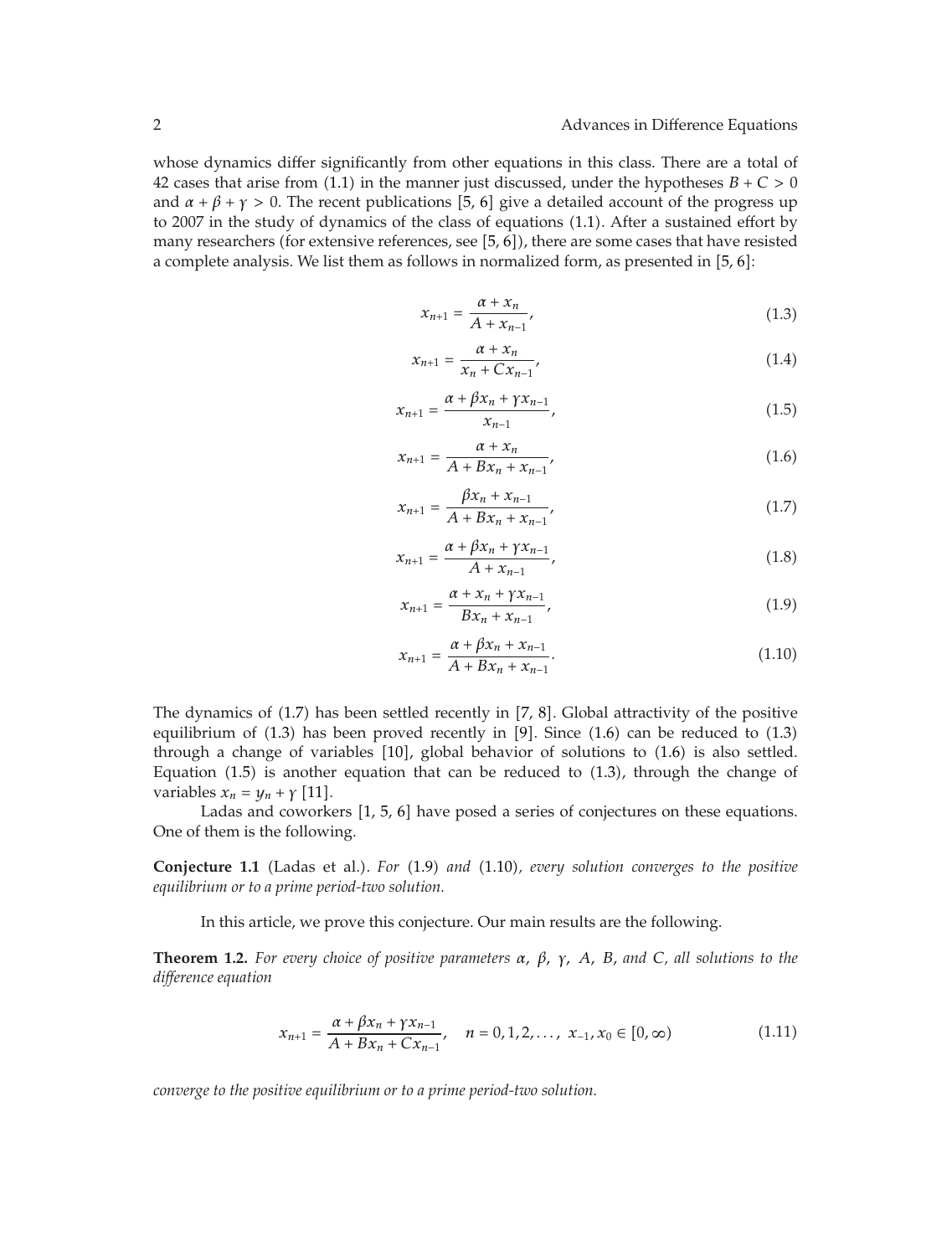whose dynamics differ significantly from other equations in this class. There are a total of 42 cases that arise from (1.1) in the manner just discussed, under the hypotheses  $B + C > 0$ and  $\alpha + \beta + \gamma > 0$ . The recent publications [5, 6] give a detailed account of the progress up to 2007 in the study of dynamics of the class of equations (1.1). After a sustained effort by many researchers (for extensive references, see  $[5, 6]$ ), there are some cases that have resisted a complete analysis. We list them as follows in normalized form, as presented in  $[5, 6]$ :

$$
x_{n+1} = \frac{\alpha + x_n}{A + x_{n-1}},
$$
\n(1.3)

$$
x_{n+1} = \frac{\alpha + x_n}{x_n + Cx_{n-1}},
$$
\n(1.4)

$$
x_{n+1} = \frac{\alpha + \beta x_n + \gamma x_{n-1}}{x_{n-1}},
$$
\n(1.5)

$$
x_{n+1} = \frac{\alpha + x_n}{A + Bx_n + x_{n-1}},
$$
\n(1.6)

$$
x_{n+1} = \frac{\beta x_n + x_{n-1}}{A + Bx_n + x_{n-1}},
$$
\n(1.7)

$$
x_{n+1} = \frac{\alpha + \beta x_n + \gamma x_{n-1}}{A + x_{n-1}},
$$
\n(1.8)

$$
x_{n+1} = \frac{\alpha + x_n + \gamma x_{n-1}}{Bx_n + x_{n-1}},
$$
\n(1.9)

$$
x_{n+1} = \frac{\alpha + \beta x_n + x_{n-1}}{A + Bx_n + x_{n-1}}.\tag{1.10}
$$

The dynamics of  $(1.7)$  has been settled recently in  $[7, 8]$ . Global attractivity of the positive equilibrium of  $(1.3)$  has been proved recently in [9]. Since  $(1.6)$  can be reduced to  $(1.3)$ through a change of variables  $[10]$ , global behavior of solutions to  $(1.6)$  is also settled. Equation  $(1.5)$  is another equation that can be reduced to  $(1.3)$ , through the change of variables  $x_n = y_n + \gamma$  [11].

Ladas and coworkers  $\begin{bmatrix} 1, 5, 6 \end{bmatrix}$  have posed a series of conjectures on these equations. One of them is the following.

**Conjecture 1.1** (Ladas et al.). *For* (1.9) and (1.10), every solution converges to the positive *equilibrium or to a prime period-two solution.*

In this article, we prove this conjecture. Our main results are the following.

**Theorem 1.2.** *For every choice of positive parameters α, β, γ, A, B, and <sup>C</sup>, all solutions to the difference equation*

$$
x_{n+1} = \frac{\alpha + \beta x_n + \gamma x_{n-1}}{A + Bx_n + Cx_{n-1}}, \quad n = 0, 1, 2, ..., x_{-1}, x_0 \in [0, \infty)
$$
 (1.11)

*converge to the positive equilibrium or to a prime period-two solution.*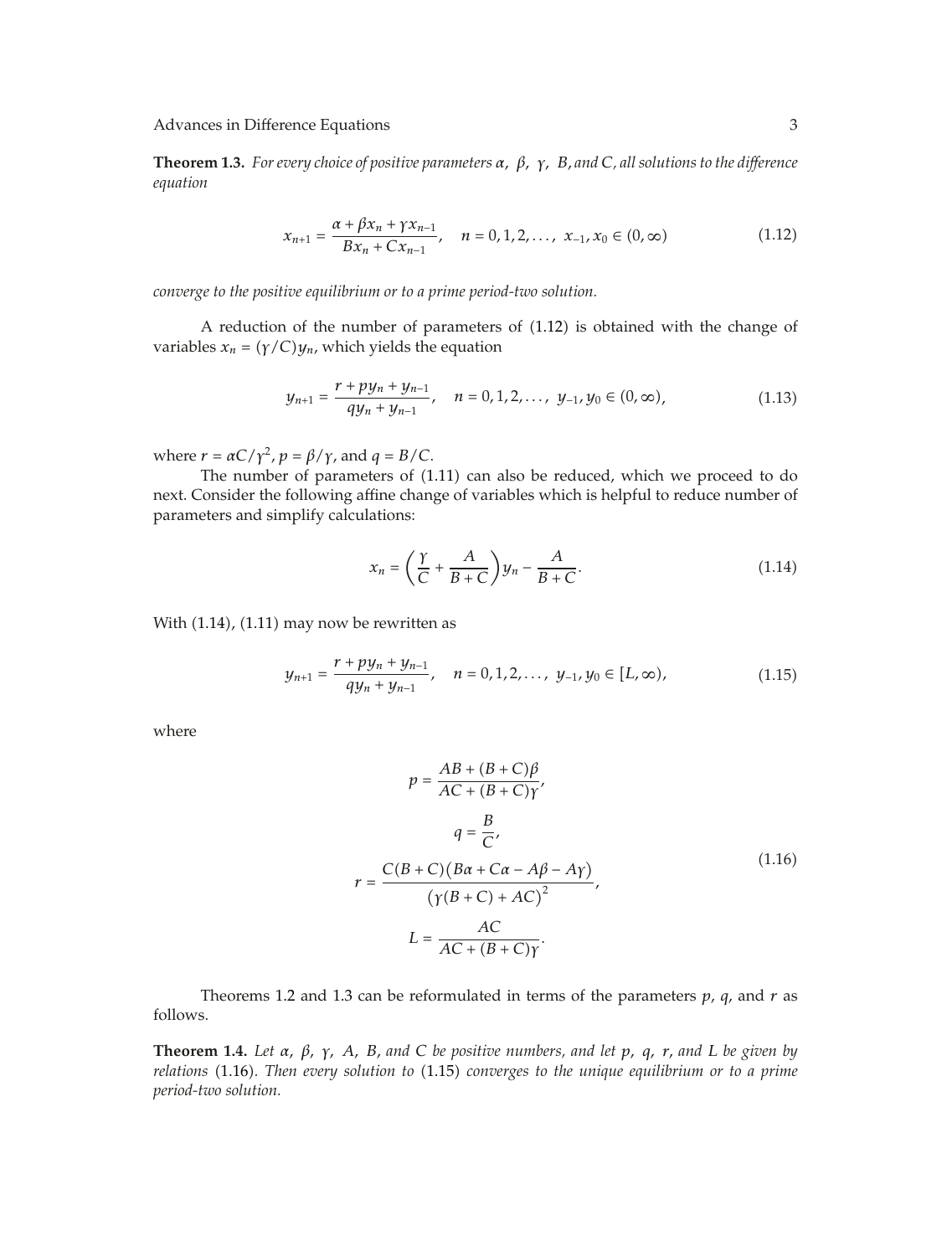**Theorem 1.3.** *For every choice of positive parameters α, β, γ, B, and <sup>C</sup>, all solutions to the difference equation*

$$
x_{n+1} = \frac{\alpha + \beta x_n + \gamma x_{n-1}}{Bx_n + Cx_{n-1}}, \quad n = 0, 1, 2, ..., x_{-1}, x_0 \in (0, \infty)
$$
 (1.12)

*converge to the positive equilibrium or to a prime period-two solution.*

A reduction of the number of parameters of 1.12 is obtained with the change of variables  $x_n = (\gamma/C)y_n$ , which yields the equation

$$
y_{n+1} = \frac{r + py_n + y_{n-1}}{qy_n + y_{n-1}}, \quad n = 0, 1, 2, ..., y_{-1}, y_0 \in (0, \infty), \tag{1.13}
$$

where  $r = \alpha C / \gamma^2$ ,  $p = \beta / \gamma$ , and  $q = B / C$ .

The number of parameters of (1.11) can also be reduced, which we proceed to do next. Consider the following affine change of variables which is helpful to reduce number of parameters and simplify calculations:

$$
x_n = \left(\frac{\gamma}{C} + \frac{A}{B+C}\right)y_n - \frac{A}{B+C}.\tag{1.14}
$$

With  $(1.14)$ ,  $(1.11)$  may now be rewritten as

$$
y_{n+1} = \frac{r + py_n + y_{n-1}}{qy_n + y_{n-1}}, \quad n = 0, 1, 2, ..., y_{-1}, y_0 \in [L, \infty), \tag{1.15}
$$

where

$$
p = \frac{AB + (B + C)\beta}{AC + (B + C)\gamma},
$$
  
\n
$$
q = \frac{B}{C},
$$
  
\n
$$
r = \frac{C(B + C)(B\alpha + C\alpha - A\beta - A\gamma)}{(\gamma(B + C) + AC)^2},
$$
  
\n
$$
L = \frac{AC}{AC + (B + C)\gamma}.
$$
  
\n(1.16)

Theorems 1.2 and 1.3 can be reformulated in terms of the parameters  $p$ ,  $q$ , and  $r$  as follows.

**Theorem 1.4.** *Let α, β, γ, A, B, and <sup>C</sup> be positive numbers, and let p, q, r, and <sup>L</sup> be given by relations* 1.16*. Then every solution to* 1.15 *converges to the unique equilibrium or to a prime period-two solution.*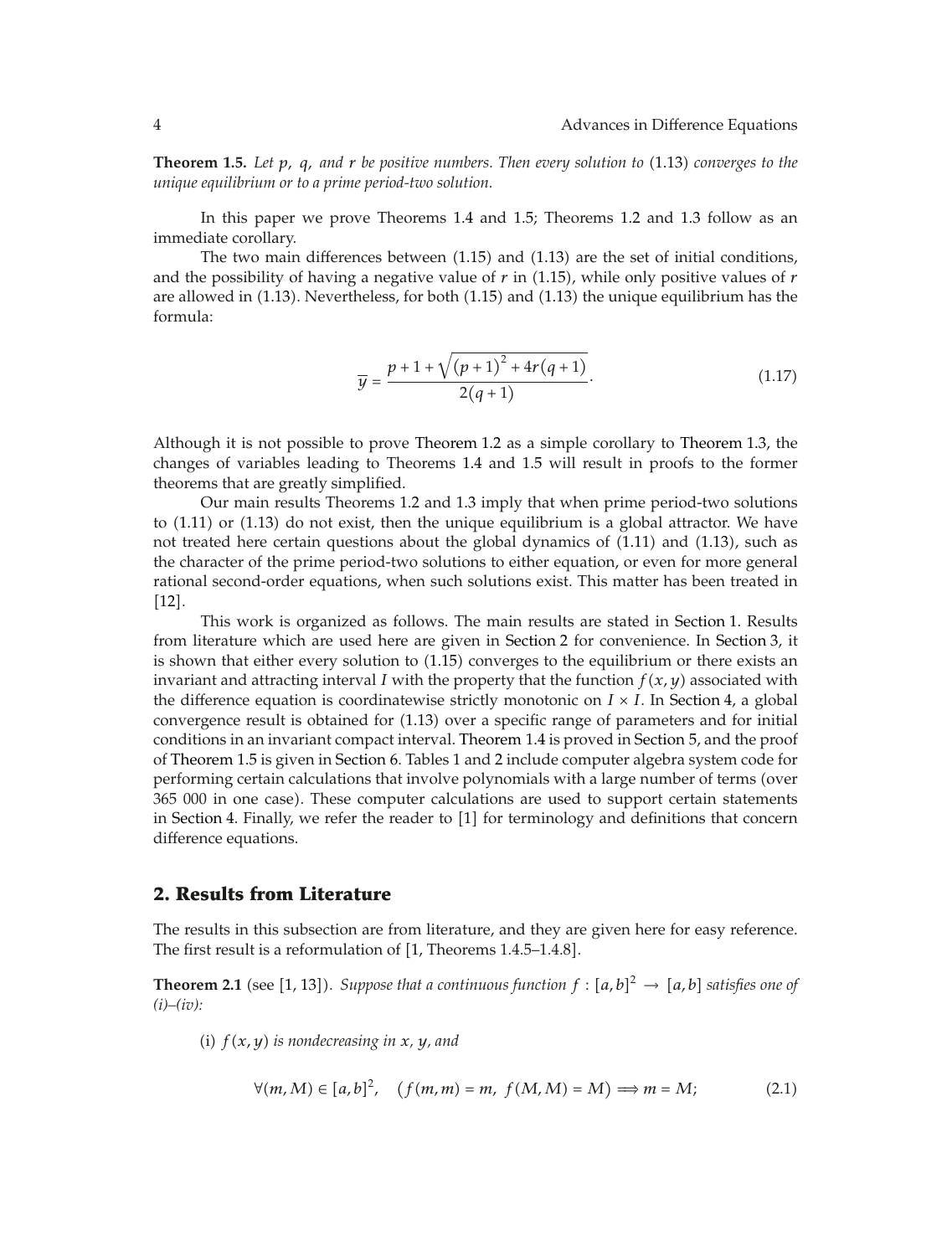**Theorem 1.5.** Let p, q, and r be positive numbers. Then every solution to (1.13) converges to the *unique equilibrium or to a prime period-two solution.*

In this paper we prove Theorems 1.4 and 1.5; Theorems 1.2 and 1.3 follow as an immediate corollary.

The two main differences between  $(1.15)$  and  $(1.13)$  are the set of initial conditions, and the possibility of having a negative value of *r* in 1.15, while only positive values of *r* are allowed in (1.13). Nevertheless, for both (1.15) and (1.13) the unique equilibrium has the formula:

$$
\overline{y} = \frac{p + 1 + \sqrt{(p + 1)^2 + 4r(q + 1)}}{2(q + 1)}.
$$
\n(1.17)

Although it is not possible to prove Theorem 1.2 as a simple corollary to Theorem 1.3, the changes of variables leading to Theorems 1.4 and 1.5 will result in proofs to the former theorems that are greatly simplified.

Our main results Theorems 1.2 and 1.3 imply that when prime period-two solutions to  $(1.11)$  or  $(1.13)$  do not exist, then the unique equilibrium is a global attractor. We have not treated here certain questions about the global dynamics of  $(1.11)$  and  $(1.13)$ , such as the character of the prime period-two solutions to either equation, or even for more general rational second-order equations, when such solutions exist. This matter has been treated in  $[12]$ .

This work is organized as follows. The main results are stated in Section 1. Results from literature which are used here are given in Section 2 for convenience. In Section 3, it is shown that either every solution to  $(1.15)$  converges to the equilibrium or there exists an invariant and attracting interval *I* with the property that the function  $f(x, y)$  associated with the difference equation is coordinatewise strictly monotonic on  $I \times I$ . In Section 4, a global convergence result is obtained for 1.13 over a specific range of parameters and for initial conditions in an invariant compact interval. Theorem 1.4 is proved in Section 5, and the proof of Theorem 1.5 is given in Section 6. Tables 1 and 2 include computer algebra system code for performing certain calculations that involve polynomials with a large number of terms (over 365 000 in one case). These computer calculations are used to support certain statements in Section 4. Finally, we refer the reader to  $[1]$  for terminology and definitions that concern difference equations.

### **2. Results from Literature**

The results in this subsection are from literature, and they are given here for easy reference. The first result is a reformulation of [1, Theorems 1.4.5–1.4.8].

**Theorem 2.1** (see [1, 13]). *Suppose that a continuous function*  $f : [a, b]^2 \rightarrow [a, b]$  satisfies one of *(i)–(iv):*

(i)  $f(x, y)$  *is nondecreasing in*  $x$ *, y<sub></sub>*, and

$$
\forall (m, M) \in [a, b]^2, \quad (f(m, m) = m, \ f(M, M) = M) \Longrightarrow m = M; \tag{2.1}
$$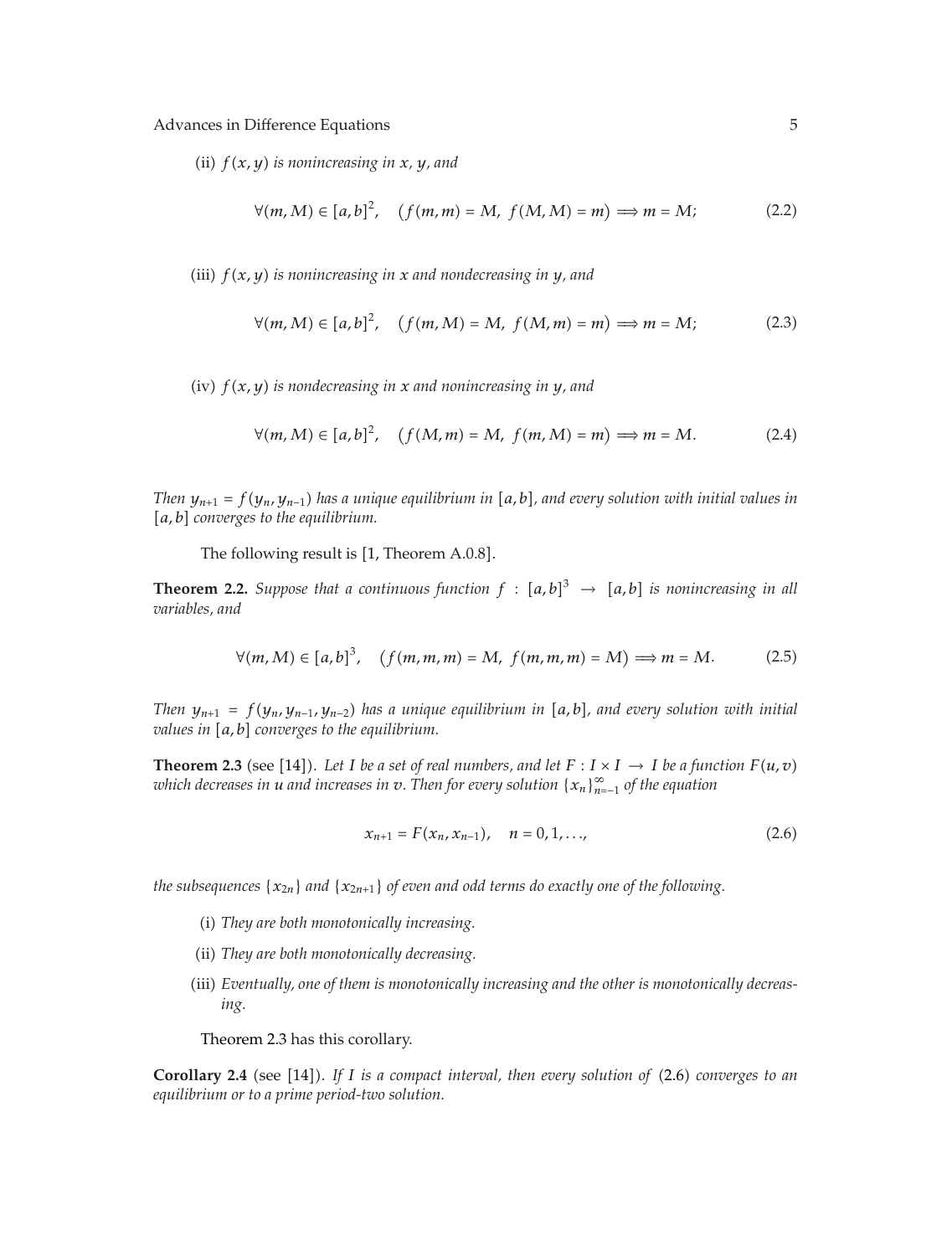(ii)  $f(x, y)$  *is nonincreasing in*  $x$ *, y<sub></sub>, and* 

$$
\forall (m, M) \in [a, b]^2, \quad (f(m, m) = M, f(M, M) = m) \Longrightarrow m = M; \tag{2.2}
$$

(iii)  $f(x, y)$  *is nonincreasing in x and nondecreasing in y*, *and* 

$$
\forall (m, M) \in [a, b]^2, \quad (f(m, M) = M, f(M, m) = m) \Longrightarrow m = M; \tag{2.3}
$$

iv *fx, y is nondecreasing in x and nonincreasing in y, and*

$$
\forall (m, M) \in [a, b]^2, \quad (f(M, m) = M, \ f(m, M) = m) \Longrightarrow m = M. \tag{2.4}
$$

*Then*  $y_{n+1} = f(y_n, y_{n-1})$  has a unique equilibrium in [a, b], and every solution with initial values in [a, b] converges to the equilibrium.

The following result is [1, Theorem A.0.8].

**Theorem 2.2.** *Suppose that a continuous function*  $f : [a,b]^3 \rightarrow [a,b]$  *is nonincreasing in all xariables and variables, and*

$$
\forall (m, M) \in [a, b]^3, \quad (f(m, m, m) = M, \ f(m, m, m) = M) \Longrightarrow m = M. \tag{2.5}
$$

*Then*  $y_{n+1} = f(y_n, y_{n-1}, y_{n-2})$  has a unique equilibrium in [a, b], and every solution with initial *values in* [a, b] converges to the equilibrium.

**Theorem 2.3** (see [14]). Let *I* be a set of real numbers, and let  $F : I \times I \rightarrow I$  be a function  $F(u, v)$ *which decreases in u and increases in v. Then for every solution* {*xn*}<sup>∞</sup> *<sup>n</sup>*−<sup>1</sup> *of the equation*

$$
x_{n+1} = F(x_n, x_{n-1}), \quad n = 0, 1, ..., \tag{2.6}
$$

*the subsequences* {*x*2*n*} *and* {*x*2*n*1} *of even and odd terms do exactly one of the following.*

- i *They are both monotonically increasing.*
- (ii) They are both monotonically decreasing.
- (iii) Eventually, one of them is monotonically increasing and the other is monotonically decreas*ing.*

Theorem 2.3 has this corollary.

**Corollary 2.4** (see [14]). If *I* is a compact interval, then every solution of (2.6) converges to an *equilibrium or to a prime period-two solution.*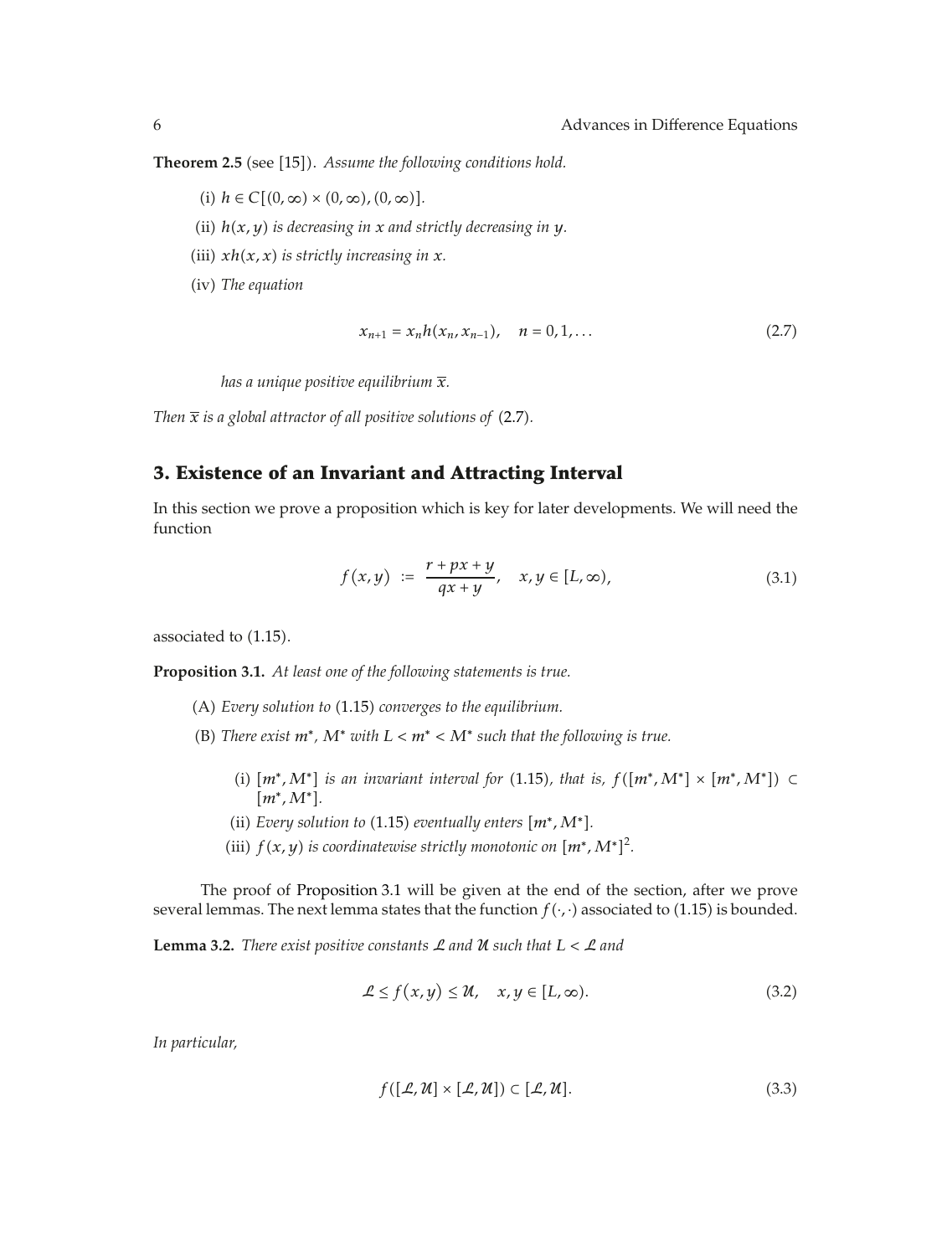**Theorem 2.5** (see [15]). Assume the following conditions hold.

- $(i)$   $h \in C[(0, \infty) \times (0, \infty), (0, \infty)].$
- (ii)  $h(x, y)$  *is decreasing in*  $x$  *and strictly decreasing in*  $y$ *.*
- (iii)  $xh(x, x)$  *is strictly increasing in*  $x$ *.*
- (iv) The equation

$$
x_{n+1} = x_n h(x_n, x_{n-1}), \quad n = 0, 1, ... \tag{2.7}
$$

*has a unique positive equilibrium x.*

*Then*  $\bar{x}$  *is a global attractor of all positive solutions of* (2.7).

### **3. Existence of an Invariant and Attracting Interval**

In this section we prove a proposition which is key for later developments. We will need the function

$$
f(x,y) := \frac{r + px + y}{qx + y}, \quad x, y \in [L, \infty), \tag{3.1}
$$

associated to  $(1.15)$ .

**Proposition 3.1.** *At least one of the following statements is true.*

- A *Every solution to* 1.15 *converges to the equilibrium.*
- (B) There exist  $m^*$ ,  $M^*$  with  $L < m^* < M^*$  such that the following is true.
	- (i)  $[m^*, M^*]$  *is an invariant interval for* (1.15*), that is,*  $f([m^*, M^*] \times [m^*, M^*]) \subset$ *m*∗*,M*∗*.*
	- (ii) *Every solution to* (1.15) *eventually enters*  $[m^*, M^*]$ *.*
	- (iii)  $f(x, y)$  *is coordinatewise strictly monotonic on*  $[m^*, M^*]^2$ *.*

The proof of Proposition 3.1 will be given at the end of the section, after we prove several lemmas. The next lemma states that the function  $f(\cdot, \cdot)$  associated to (1.15) is bounded.

**Lemma 3.2.** *There exist positive constants*  $\mathcal{L}$  *and*  $\mathcal{U}$  *such that*  $L < \mathcal{L}$  *and* 

$$
\mathcal{L} \le f(x, y) \le \mathcal{U}, \quad x, y \in [L, \infty). \tag{3.2}
$$

*In particular,*

$$
f([\mathcal{L}, \mathcal{U}] \times [\mathcal{L}, \mathcal{U}]) \subset [\mathcal{L}, \mathcal{U}]. \tag{3.3}
$$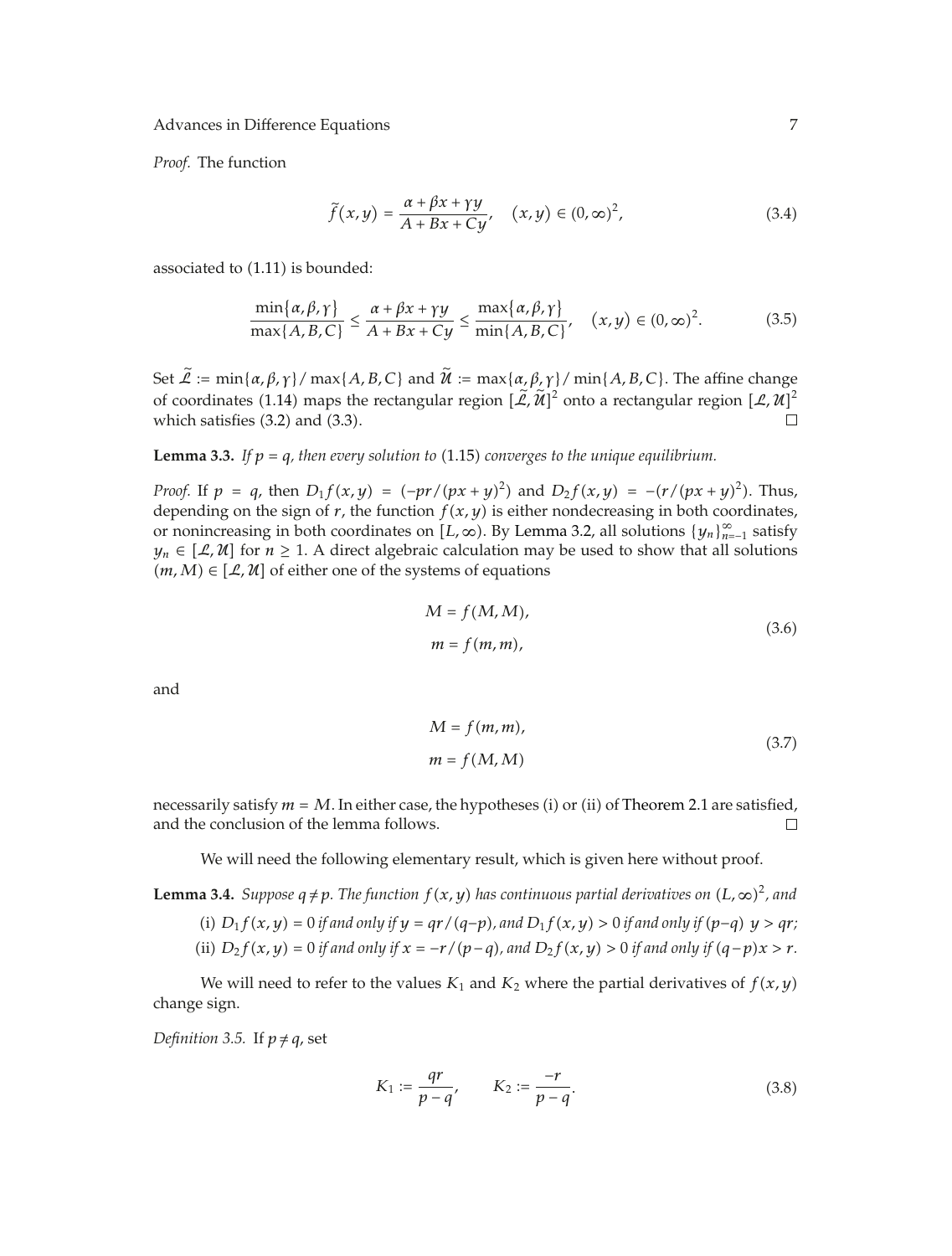*Proof.* The function

$$
\tilde{f}(x,y) = \frac{\alpha + \beta x + \gamma y}{A + Bx + Cy}, \quad (x,y) \in (0,\infty)^2,
$$
\n(3.4)

associated to  $(1.11)$  is bounded:

$$
\frac{\min\{\alpha,\beta,\gamma\}}{\max\{A,B,C\}} \le \frac{\alpha + \beta x + \gamma y}{A + Bx + Cy} \le \frac{\max\{\alpha,\beta,\gamma\}}{\min\{A,B,C\}}, \quad (x,y) \in (0,\infty)^2. \tag{3.5}
$$

Set  $\widetilde{\mathcal{L}} := \min{\{\alpha, \beta, \gamma\}} / \max{\{A, B, C\}}$  and  $\widetilde{\mathcal{U}} := \max{\{\alpha, \beta, \gamma\}} / \min{\{A, B, C\}}$ . The affine change of coordinates (1.14) maps the rectangular region  $[\tilde{\mathcal{L}}, \tilde{\mathcal{U}}]^2$  onto a rectangular region  $[\mathcal{L}, \mathcal{U}]^2$ which satisfies  $(3.2)$  and  $(3.3)$ .

**Lemma 3.3.** *If*  $p = q$ *, then every solution to* (1.15) *converges to the unique equilibrium.* 

*Proof.* If  $p = q$ , then  $D_1 f(x, y) = (-pr/(px + y)^2)$  and  $D_2 f(x, y) = -(r/(px + y)^2)$ . Thus, depending on the sign of  $r$ , the function  $f(x, y)$  is either nondecreasing in both coordinates, or nonincreasing in both coordinates on  $[L, \infty)$ . By Lemma 3.2, all solutions  $\{y_n\}_{n=-1}^{\infty}$  satisfy  $y_n \in [\mathcal{L}, \mathcal{U}]$  for  $n \geq 1$ . A direct algebraic calculation may be used to show that all solutions  $(m, M) \in [\mathcal{L}, \mathcal{U}]$  of either one of the systems of equations

$$
M = f(M, M),
$$
  
\n
$$
m = f(m, m),
$$
\n(3.6)

and

$$
M = f(m, m),
$$
  
\n
$$
m = f(M, M)
$$
\n(3.7)

necessarily satisfy  $m = M$ . In either case, the hypotheses (i) or (ii) of Theorem 2.1 are satisfied, and the conclusion of the lemma follows.  $\Box$ 

We will need the following elementary result, which is given here without proof.

**Lemma 3.4.** *Suppose*  $q \neq p$ *. The function*  $f(x, y)$  *has continuous partial derivatives on*  $(L, \infty)^2$ *, and* 

(i) 
$$
D_1 f(x, y) = 0
$$
 if and only if  $y = qr/(q-p)$ , and  $D_1 f(x, y) > 0$  if and only if  $(p-q)$   $y > qr$ ;

(ii)  $D_2 f(x, y) = 0$  *if and only if*  $x = -r/(p-q)$ *, and*  $D_2 f(x, y) > 0$  *if and only if*  $(q-p)x > r$ *.* 

We will need to refer to the values  $K_1$  and  $K_2$  where the partial derivatives of  $f(x, y)$ change sign.

*Definition 3.5.* If  $p \neq q$ , set

$$
K_1 := \frac{qr}{p-q'}, \qquad K_2 := \frac{-r}{p-q}.
$$
\n(3.8)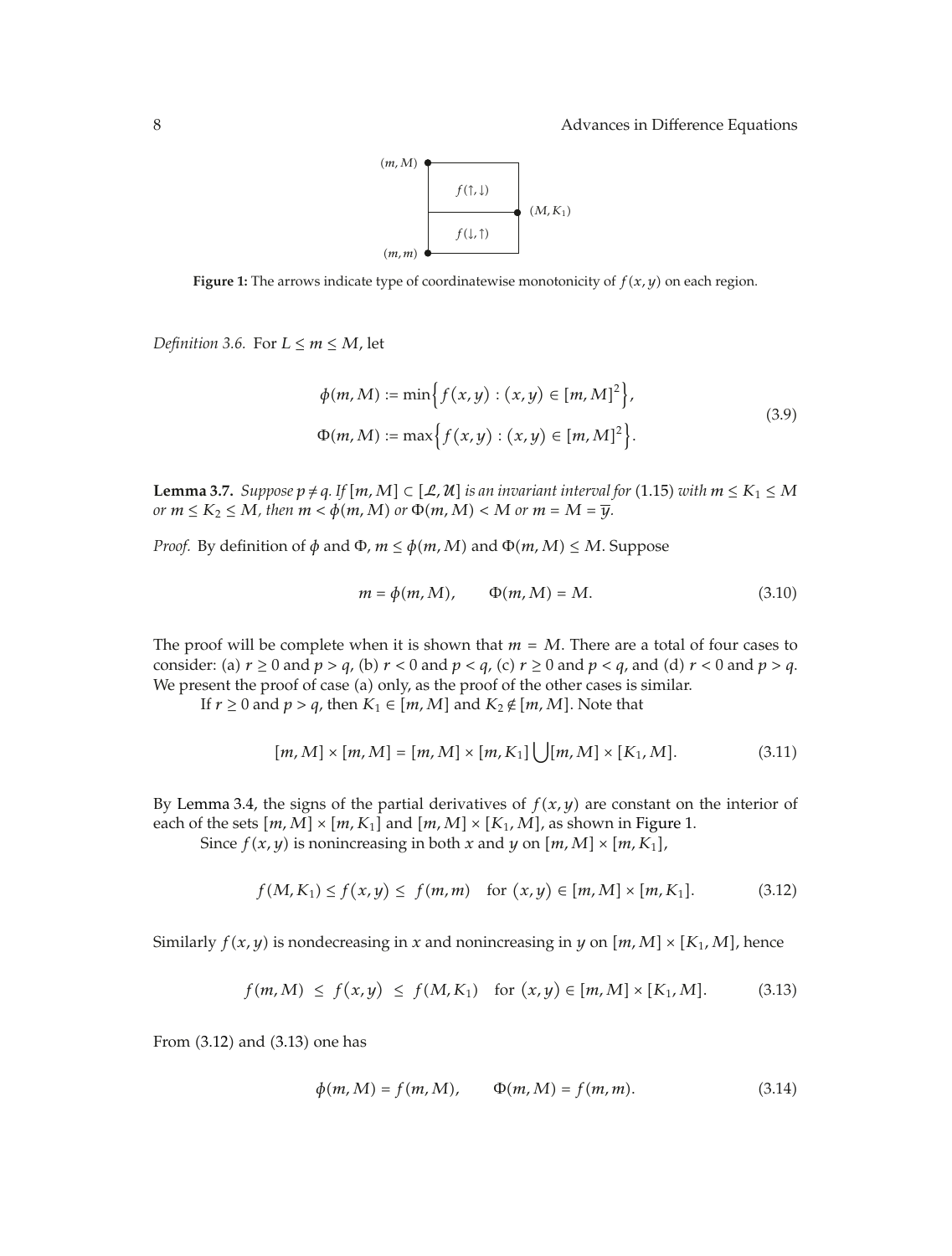

**Figure 1:** The arrows indicate type of coordinatewise monotonicity of  $f(x, y)$  on each region.

*Definition 3.6.* For  $L \leq m \leq M$ , let

$$
\phi(m, M) := \min \Big\{ f(x, y) : (x, y) \in [m, M]^2 \Big\},\
$$
  
 
$$
\Phi(m, M) := \max \Big\{ f(x, y) : (x, y) \in [m, M]^2 \Big\}.
$$
 (3.9)

**Lemma 3.7.** *Suppose*  $p \neq q$ *.* If  $[m, M] \subset [\mathcal{L}, \mathcal{U}]$  *is an invariant interval for* (1.15) *with*  $m \leq K_1 \leq M$ *or*  $m \le K_2 \le M$ , then  $m < \phi(m, M)$  or  $\Phi(m, M) < M$  or  $m = M = \overline{y}$ .

*Proof.* By definition of  $\phi$  and  $\Phi$ ,  $m \leq \phi(m, M)$  and  $\Phi(m, M) \leq M$ . Suppose

$$
m = \phi(m, M), \qquad \Phi(m, M) = M. \tag{3.10}
$$

The proof will be complete when it is shown that  $m = M$ . There are a total of four cases to consider: (a)  $r \ge 0$  and  $p > q$ , (b)  $r < 0$  and  $p < q$ , (c)  $r \ge 0$  and  $p < q$ , and (d)  $r < 0$  and  $p > q$ . We present the proof of case (a) only, as the proof of the other cases is similar.

If *r*  $\geq$  0 and *p*  $>$  *q*, then *K*<sub>1</sub>  $\in$  [*m*, *M*] and *K*<sub>2</sub>  $\notin$  [*m*, *M*]. Note that

$$
[m, M] \times [m, M] = [m, M] \times [m, K_1] \bigcup [m, M] \times [K_1, M]. \tag{3.11}
$$

By Lemma 3.4, the signs of the partial derivatives of  $f(x, y)$  are constant on the interior of each of the sets  $[m, M] \times [m, K_1]$  and  $[m, M] \times [K_1, M]$ , as shown in Figure 1.

Since  $f(x, y)$  is nonincreasing in both *x* and *y* on  $[m, M] \times [m, K_1]$ ,

$$
f(M, K_1) \le f(x, y) \le f(m, m) \quad \text{for } (x, y) \in [m, M] \times [m, K_1]. \tag{3.12}
$$

Similarly  $f(x, y)$  is nondecreasing in *x* and nonincreasing in *y* on  $[m, M] \times [K_1, M]$ , hence

$$
f(m, M) \le f(x, y) \le f(M, K_1)
$$
 for  $(x, y) \in [m, M] \times [K_1, M].$  (3.13)

From  $(3.12)$  and  $(3.13)$  one has

$$
\phi(m, M) = f(m, M), \qquad \Phi(m, M) = f(m, m). \tag{3.14}
$$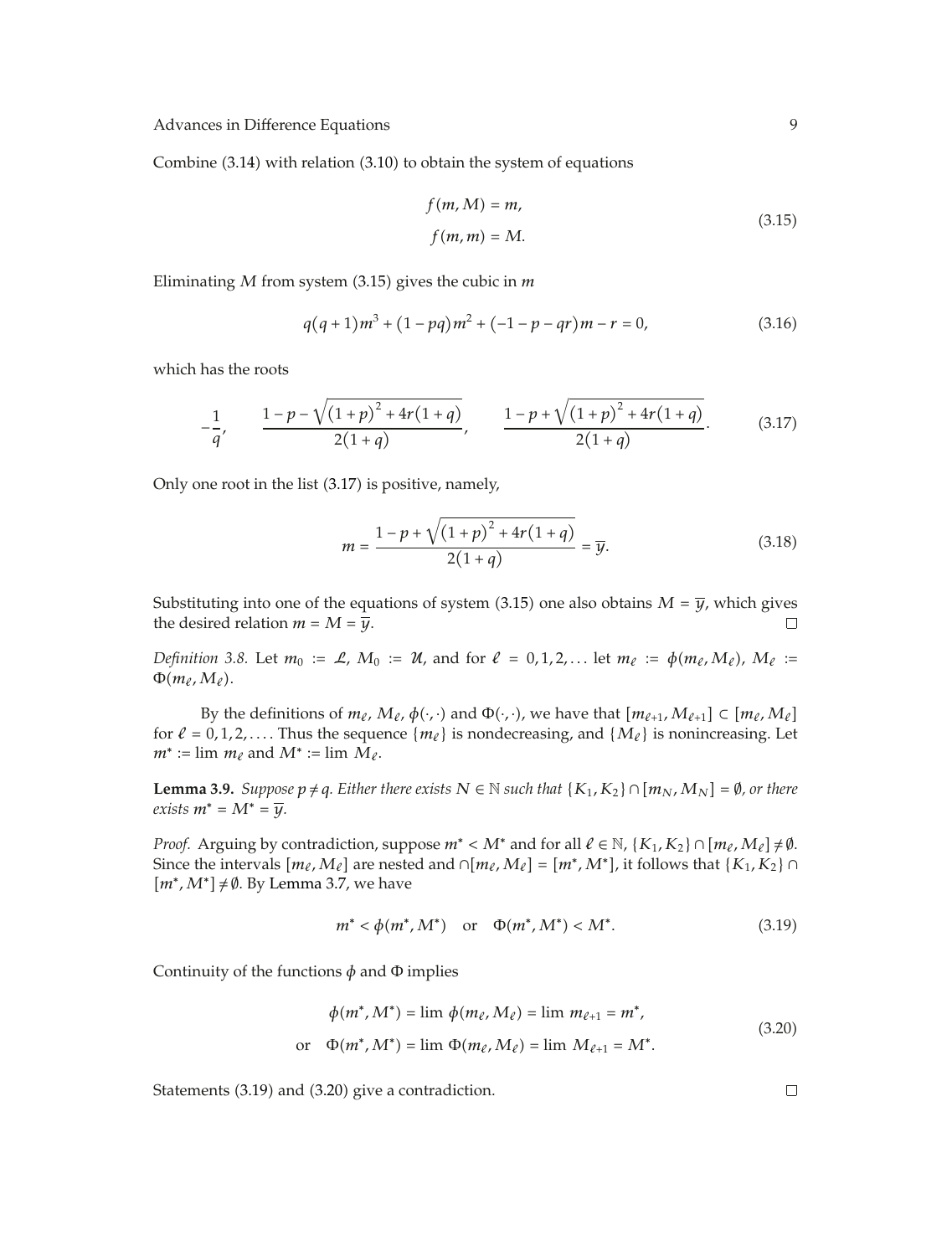Combine  $(3.14)$  with relation  $(3.10)$  to obtain the system of equations

$$
f(m, M) = m,
$$
  
\n
$$
f(m, m) = M.
$$
\n(3.15)

Eliminating  $M$  from system (3.15) gives the cubic in  $m$ 

$$
q(q+1)m^3 + (1-pq)m^2 + (-1-p-qr)m - r = 0,
$$
\n(3.16)

which has the roots

$$
-\frac{1}{q'}, \qquad \frac{1-p-\sqrt{(1+p)^2+4r(1+q)}}{2(1+q)}, \qquad \frac{1-p+\sqrt{(1+p)^2+4r(1+q)}}{2(1+q)}.
$$
 (3.17)

Only one root in the list  $(3.17)$  is positive, namely,

$$
m = \frac{1 - p + \sqrt{(1 + p)^2 + 4r(1 + q)}}{2(1 + q)} = \overline{y}.
$$
 (3.18)

Substituting into one of the equations of system (3.15) one also obtains  $M = \overline{y}$ , which gives the desired relation  $m = M = \overline{y}$ .  $\Box$ 

*Definition 3.8.* Let  $m_0 := \mathcal{L}$ ,  $M_0 := \mathcal{U}$ , and for  $\ell = 0, 1, 2, ...$  let  $m_\ell := \phi(m_\ell, M_\ell)$ ,  $M_\ell :=$  $\Phi(m_\ell,M_\ell)$ .

By the definitions of  $m_\ell$ ,  $M_\ell$ ,  $\phi(\cdot, \cdot)$  and  $\Phi(\cdot, \cdot)$ , we have that  $[m_{\ell+1}, M_{\ell+1}] \subset [m_\ell, M_\ell]$ for  $\ell = 0, 1, 2, \ldots$ . Thus the sequence  $\{m_{\ell}\}\$ is nondecreasing, and  $\{M_{\ell}\}\$ is nonincreasing. Let  $m^*$  := lim  $m_\ell$  and  $M^*$  := lim  $M_\ell$ .

**Lemma 3.9.** *Suppose*  $p ≠ q$ *. Either there exists*  $N ∈ ℕ$  *such that*  $\{K_1, K_2\} ∩ [m_N, M_N] = ∅$ *, or there*  $exists$   $m^* = M^* = \overline{y}$ .

*Proof.* Arguing by contradiction, suppose  $m^*$  <  $M^*$  and for all  $\ell \in \mathbb{N}$ ,  $\{K_1, K_2\} \cap [m_\ell, M_\ell] \neq \emptyset$ . Since the intervals  $[m_\ell, M_\ell]$  are nested and  $\cap [m_\ell, M_\ell] = [m^*, M^*]$ , it follows that  $\{K_1, K_2\} \cap$ *m<sup>∗</sup>*, *M*<sup>∗</sup>*]* ≠ Ø. By Lemma 3.7, we have

$$
m^* < \phi(m^*, M^*)
$$
 or  $\Phi(m^*, M^*) < M^*$ . (3.19)

Continuity of the functions  $\phi$  and  $\Phi$  implies

$$
\phi(m^*, M^*) = \lim \phi(m_\ell, M_\ell) = \lim m_{\ell+1} = m^*,
$$
  
or 
$$
\Phi(m^*, M^*) = \lim \Phi(m_\ell, M_\ell) = \lim M_{\ell+1} = M^*.
$$
 (3.20)

Statements (3.19) and (3.20) give a contradiction.

 $\Box$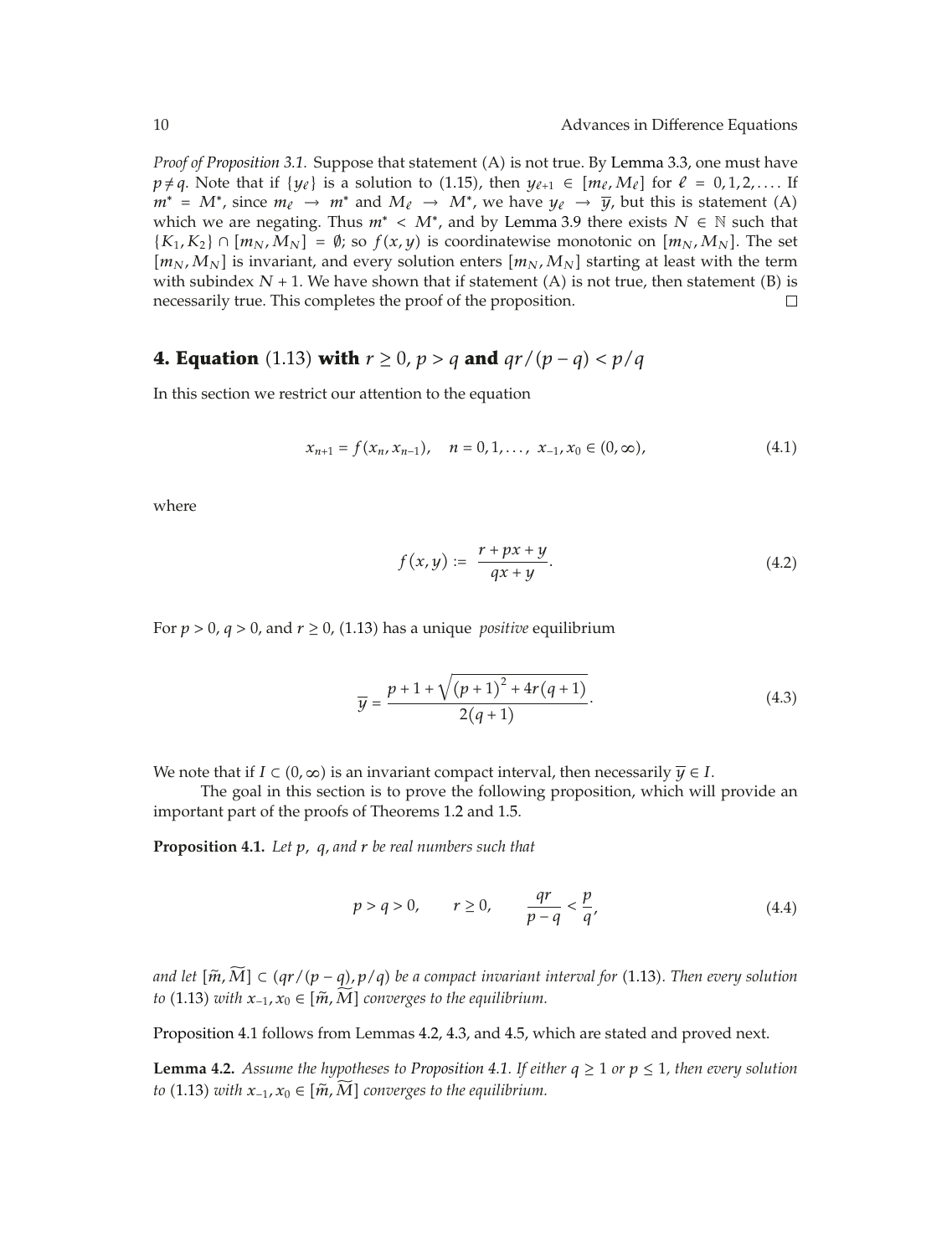*Proof of Proposition 3.1.* Suppose that statement (A) is not true. By Lemma 3.3, one must have *p* ≠ *q*. Note that if {*y*<sub>ℓ</sub>} is a solution to (1.15), then *y*<sub>ℓ+1</sub> ∈  $[m_\ell, M_\ell]$  for  $\ell = 0, 1, 2, \ldots$  If *m*<sup>∗</sup> =  $M^*$ , since  $m_\ell \to m^*$  and  $M_\ell \to M^*$ , we have  $y_\ell \to \bar{y}$ , but this is statement (A) which we are negating. Thus  $m^* < M^*$ , and by Lemma 3.9 there exists  $N \in \mathbb{N}$  such that  $\{K_1, K_2\} \cap [m_N, M_N] = \emptyset$ ; so  $f(x, y)$  is coordinatewise monotonic on  $[m_N, M_N]$ . The set  $[m_N, M_N]$  is invariant, and every solution enters  $[m_N, M_N]$  starting at least with the term with subindex  $N + 1$ . We have shown that if statement (A) is not true, then statement (B) is necessarily true. This completes the proof of the proposition.  $\Box$ 

## **4. Equation** (1.13) **with**  $r \ge 0$ ,  $p > q$  and  $qr/(p - q) < p/q$

In this section we restrict our attention to the equation

$$
x_{n+1} = f(x_n, x_{n-1}), \quad n = 0, 1, ..., x_{-1}, x_0 \in (0, \infty), \tag{4.1}
$$

where

$$
f(x,y) := \frac{r + px + y}{qx + y}.\tag{4.2}
$$

For  $p > 0$ ,  $q > 0$ , and  $r \ge 0$ , (1.13) has a unique *positive* equilibrium

$$
\overline{y} = \frac{p + 1 + \sqrt{(p + 1)^2 + 4r(q + 1)}}{2(q + 1)}.
$$
\n(4.3)

We note that if  $I \subset (0,\infty)$  is an invariant compact interval, then necessarily  $\overline{\gamma} \in I$ .

The goal in this section is to prove the following proposition, which will provide an important part of the proofs of Theorems 1.2 and 1.5.

**Proposition 4.1.** *Let p, q, and <sup>r</sup> be real numbers such that*

$$
p > q > 0, \qquad r \ge 0, \qquad \frac{qr}{p-q} < \frac{p}{q}, \tag{4.4}
$$

*and let*  $[\widetilde{m}, \widetilde{M}]$  ⊂  $(qr/(p-q), p/q)$  be a compact invariant interval for (1.13). Then every solution *to* (1.13) *with*  $x_{-1}$ ,  $x_0 \in [\tilde{m}, \tilde{M}]$  converges to the equilibrium.

Proposition 4.1 follows from Lemmas 4.2, 4.3, and 4.5, which are stated and proved next.

**Lemma 4.2.** *Assume the hypotheses to Proposition 4.1. If either*  $q \ge 1$  *or*  $p \le 1$ *, then every solution to* (1.13) *with*  $x_{-1}$ ,  $x_0 \in [\tilde{m}, \tilde{M}]$  *converges to the equilibrium.*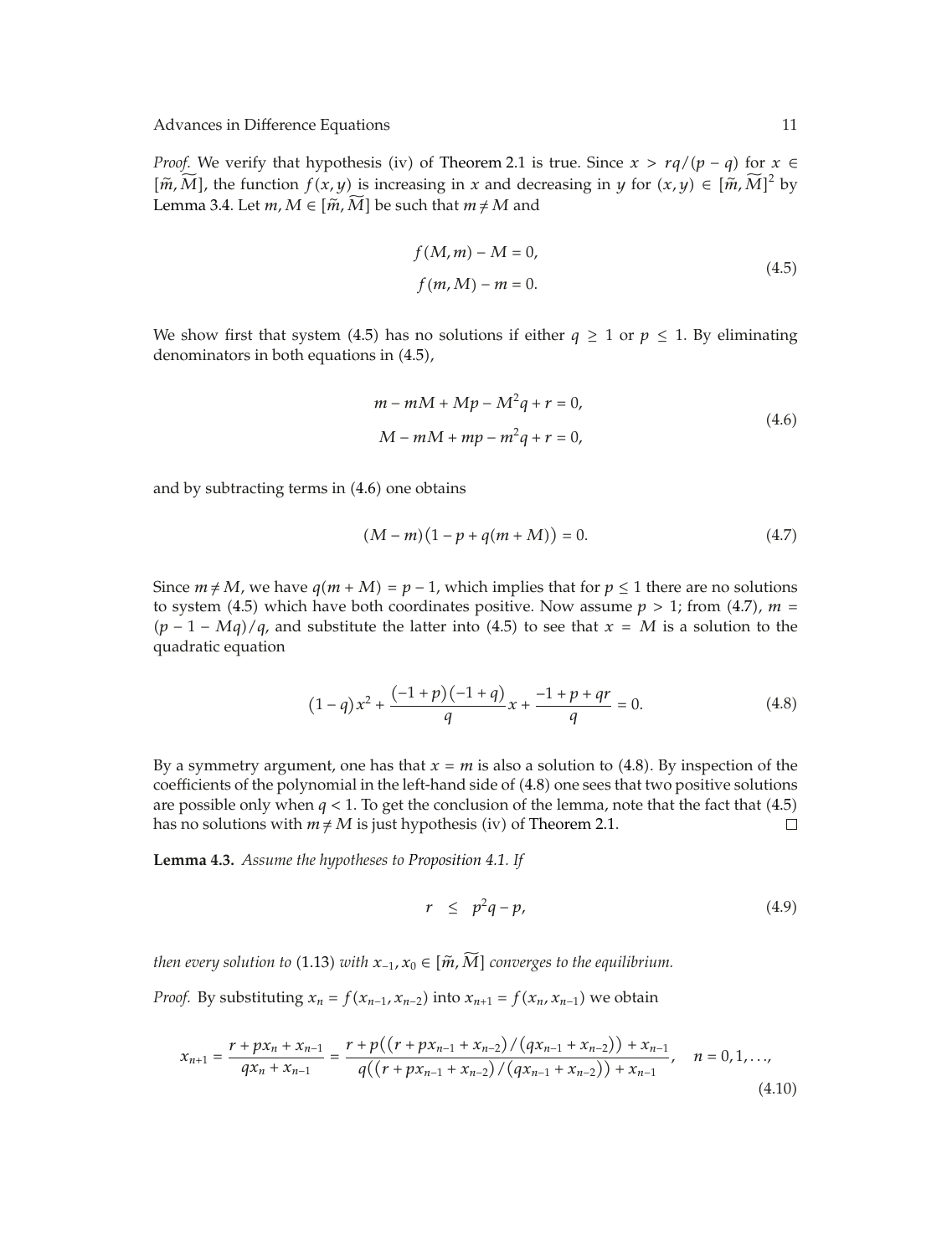*Proof.* We verify that hypothesis (iv) of Theorem 2.1 is true. Since  $x > rq/(p - q)$  for  $x \in$ *m*,  $\widetilde{M}$ , the function *f(x, y)* is increasing in *x* and decreasing in *y* for *(x, y)* ∈  $[\widetilde{m}, \widetilde{M}]^2$  by Lemma 3.4. Let  $m, M \in [\tilde{m}, \tilde{M}]$  be such that  $m \neq M$  and

$$
f(M,m) - M = 0,
$$
  

$$
f(m,M) - m = 0.
$$
 (4.5)

We show first that system (4.5) has no solutions if either  $q \ge 1$  or  $p \le 1$ . By eliminating denominators in both equations in  $(4.5)$ ,

$$
m - mM + Mp - M^{2}q + r = 0,
$$
  

$$
M - mM + mp - m^{2}q + r = 0,
$$
 (4.6)

and by subtracting terms in  $(4.6)$  one obtains

$$
(M-m)(1-p+q(m+M)) = 0.
$$
 (4.7)

Since  $m \neq M$ , we have  $q(m + M) = p - 1$ , which implies that for  $p \leq 1$  there are no solutions to system (4.5) which have both coordinates positive. Now assume  $p > 1$ ; from (4.7),  $m =$  $(p - 1 - Mq)/q$ , and substitute the latter into (4.5) to see that  $x = M$  is a solution to the quadratic equation

$$
(1-q)x^{2} + \frac{(-1+p)(-1+q)}{q}x + \frac{-1+p+qr}{q} = 0.
$$
\n(4.8)

By a symmetry argument, one has that  $x = m$  is also a solution to (4.8). By inspection of the coefficients of the polynomial in the left-hand side of (4.8) one sees that two positive solutions are possible only when  $q < 1$ . To get the conclusion of the lemma, note that the fact that  $(4.5)$ has no solutions with  $m \neq M$  is just hypothesis (iv) of Theorem 2.1.  $\Box$ 

**Lemma 4.3.** *Assume the hypotheses to Proposition 4.1. If*

$$
r \leq p^2q - p,\tag{4.9}
$$

*then every solution to* (1.13) *with*  $x_{-1}$ ,  $x_0 \in [\widetilde{m}, \widetilde{M}]$  *converges to the equilibrium.* 

*Proof.* By substituting  $x_n = f(x_{n-1}, x_{n-2})$  into  $x_{n+1} = f(x_n, x_{n-1})$  we obtain

$$
x_{n+1} = \frac{r + px_n + x_{n-1}}{qx_n + x_{n-1}} = \frac{r + p((r + px_{n-1} + x_{n-2})/(qx_{n-1} + x_{n-2})) + x_{n-1}}{q((r + px_{n-1} + x_{n-2})/(qx_{n-1} + x_{n-2})) + x_{n-1}}, \quad n = 0, 1, ...,
$$
\n(4.10)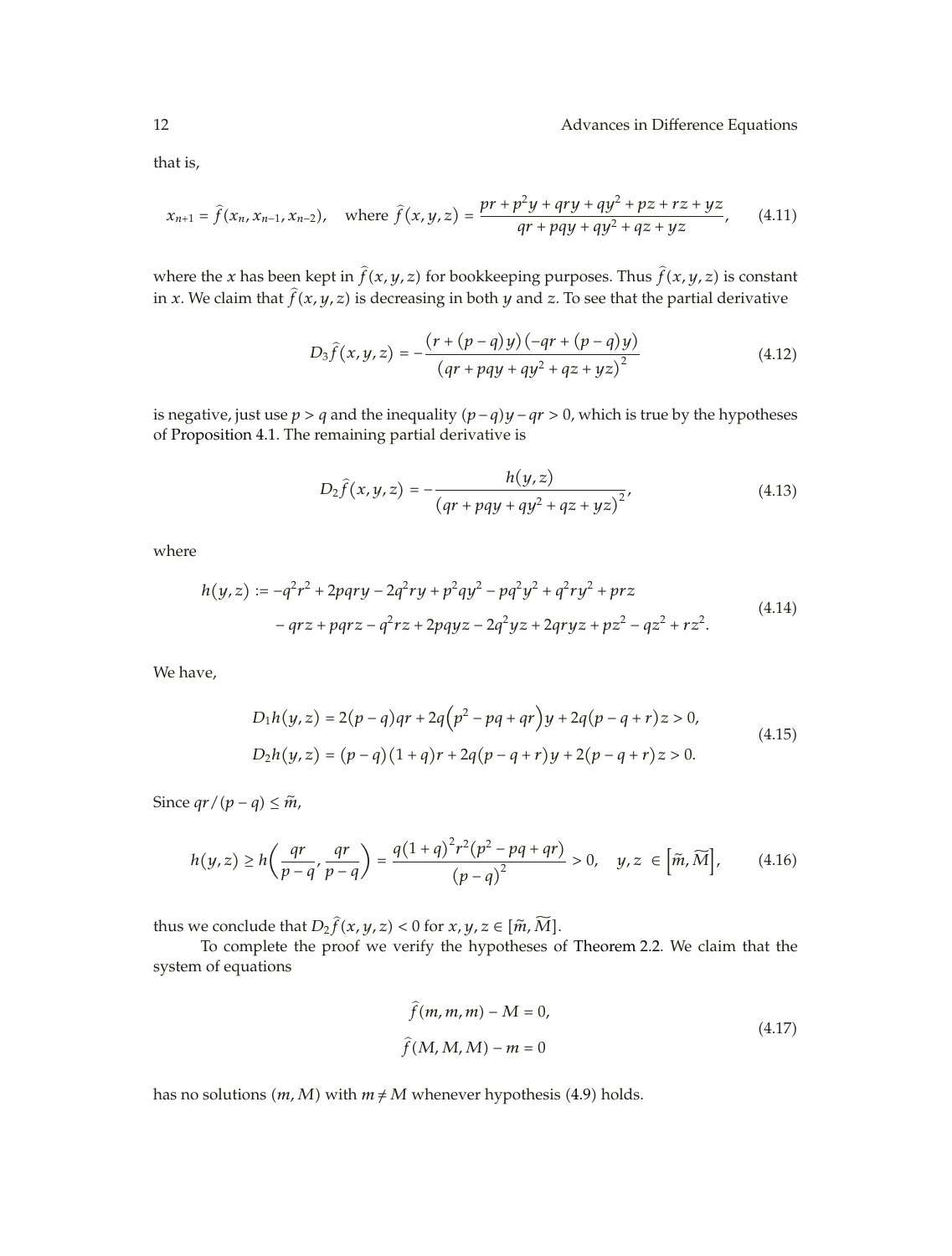that is,

$$
x_{n+1} = \hat{f}(x_n, x_{n-1}, x_{n-2}), \quad \text{where } \hat{f}(x, y, z) = \frac{pr + p^2y + qry + qy^2 + pz + rz + yz}{qr + pqy + qy^2 + qz + yz}, \qquad (4.11)
$$

where the *x* has been kept in  $\hat{f}(x, y, z)$  for bookkeeping purposes. Thus  $\hat{f}(x, y, z)$  is constant in *x*. We claim that  $\hat{f}(x, y, z)$  is decreasing in both *y* and *z*. To see that the partial derivative

$$
D_3 \hat{f}(x, y, z) = -\frac{(r + (p - q)y)(-qr + (p - q)y)}{(qr + pqy + qy^2 + qz + yz)^2}
$$
(4.12)

is negative, just use *p>q* and the inequality *p* −*qy* −*qr >* 0, which is true by the hypotheses of Proposition 4.1. The remaining partial derivative is

$$
D_2 \hat{f}(x, y, z) = -\frac{h(y, z)}{(qr + pqy + qy^2 + qz + yz)^2},
$$
\n(4.13)

where

$$
h(y, z) := -q^2r^2 + 2pqry - 2q^2ry + p^2qy^2 - pq^2y^2 + q^2ry^2 + prz
$$
  
-
$$
-qrz + pqrz - q^2rz + 2pqyz - 2q^2yz + 2qryz + pz^2 - qz^2 + rz^2.
$$
 (4.14)

We have,

$$
D_1h(y, z) = 2(p - q)qr + 2q(p^2 - pq + qr)y + 2q(p - q + r)z > 0,
$$
  
\n
$$
D_2h(y, z) = (p - q)(1 + q)r + 2q(p - q + r)y + 2(p - q + r)z > 0.
$$
\n(4.15)

Since  $qr/(p-q) \leq \tilde{m}$ ,

$$
h(y,z) \ge h\left(\frac{qr}{p-q},\frac{qr}{p-q}\right) = \frac{q(1+q)^2r^2(p^2-pq+qr)}{(p-q)^2} > 0, \quad y,z \in \left[\tilde{m}, \widetilde{M}\right],\tag{4.16}
$$

thus we conclude that  $D_2 \hat{f}(x, y, z) < 0$  for  $x, y, z \in [\tilde{m}, \tilde{M}]$ .

To complete the proof we verify the hypotheses of Theorem 2.2. We claim that the system of equations

$$
\widehat{f}(m, m, m) - M = 0,
$$
\n
$$
\widehat{f}(M, M, M) - m = 0
$$
\n(4.17)

has no solutions  $(m, M)$  with  $m \neq M$  whenever hypothesis (4.9) holds.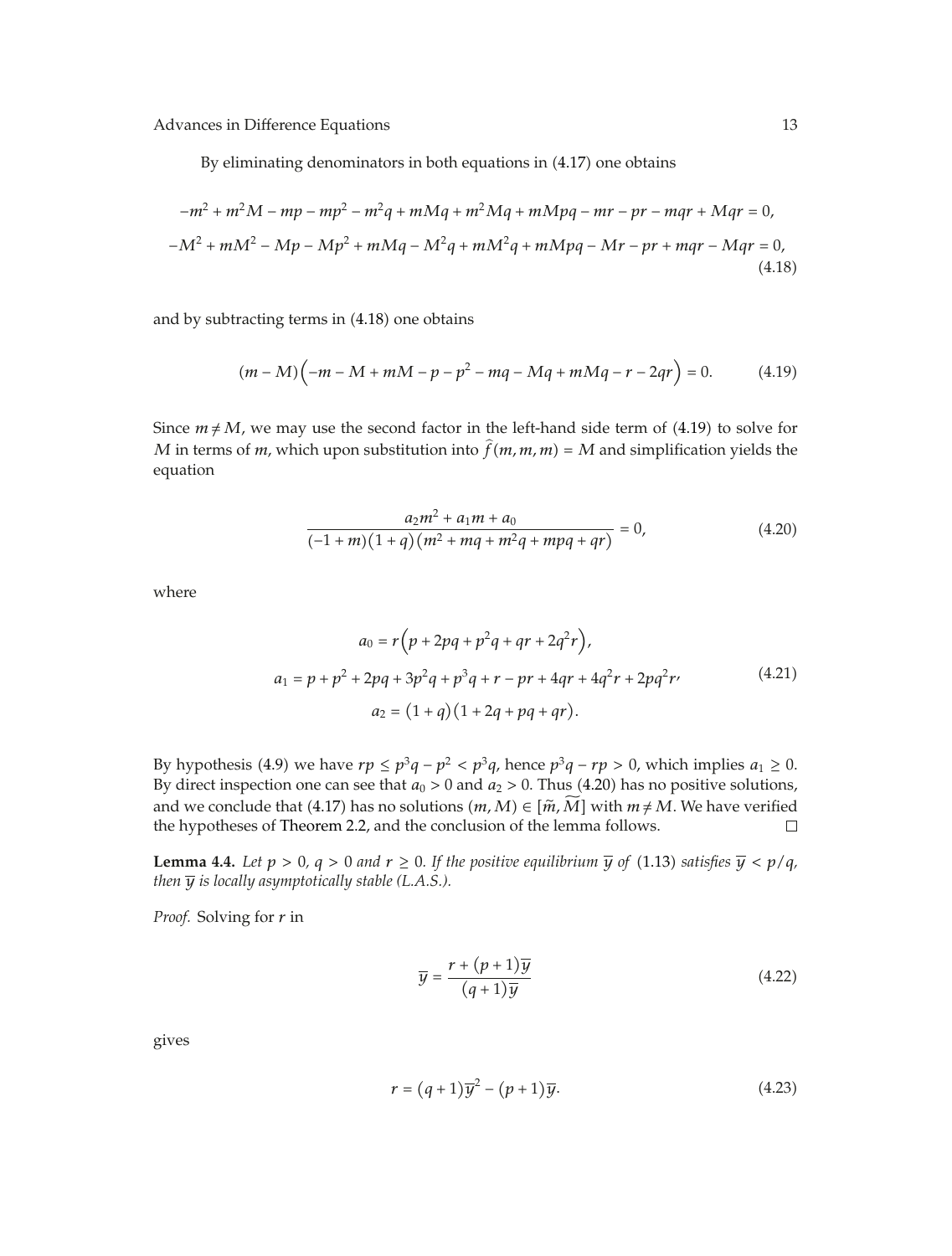By eliminating denominators in both equations in  $(4.17)$  one obtains

$$
-m^{2} + m^{2}M - mp - mp^{2} - m^{2}q + mMq + m^{2}Mq + mMpq - mr - pr - mqr + Mqr = 0,
$$
  

$$
-M^{2} + mM^{2} - Mp - Mp^{2} + mMq - M^{2}q + mM^{2}q + mMpq - Mr - pr + mqr - Mqr = 0,
$$
  
(4.18)

and by subtracting terms in  $(4.18)$  one obtains

$$
(m-M)\left(-m-M+mM-p-p^2-mq-Mq+mMq-r-2qr\right)=0.
$$
 (4.19)

Since  $m \neq M$ , we may use the second factor in the left-hand side term of (4.19) to solve for *M* in terms of *m*, which upon substitution into  $\hat{f}(m, m, m) = M$  and simplification yields the equation

$$
\frac{a_2m^2 + a_1m + a_0}{(-1+m)(1+q)(m^2 + mq + m^2q + mpq + qr)} = 0,
$$
\n(4.20)

where

$$
a_0 = r(p + 2pq + p^2q + qr + 2q^2r),
$$
  
\n
$$
a_1 = p + p^2 + 2pq + 3p^2q + p^3q + r - pr + 4qr + 4q^2r + 2pq^2r
$$
\n
$$
a_2 = (1 + q)(1 + 2q + pq + qr).
$$
\n(4.21)

By hypothesis (4.9) we have  $rp \le p^3q - p^2 < p^3q$ , hence  $p^3q - rp > 0$ , which implies  $a_1 \ge 0$ . By direct inspection one can see that  $a_0 > 0$  and  $a_2 > 0$ . Thus (4.20) has no positive solutions, and we conclude that (4.17) has no solutions  $(m, M) \in [\tilde{m}, \tilde{M}]$  with  $m \neq M$ . We have verified the hypotheses of Theorem 2.2, and the conclusion of the lemma follows. □ the hypotheses of Theorem 2.2, and the conclusion of the lemma follows.

**Lemma 4.4.** Let  $p > 0$ ,  $q > 0$  and  $r \ge 0$ . If the positive equilibrium  $\overline{y}$  of (1.13) satisfies  $\overline{y} < p/q$ , *then*  $\overline{y}$  *is locally asymptotically stable (L.A.S.).* 

*Proof.* Solving for *r* in

$$
\overline{y} = \frac{r + (p+1)\overline{y}}{(q+1)\overline{y}}
$$
\n(4.22)

gives

$$
r = (q+1)\overline{y}^2 - (p+1)\overline{y}.\tag{4.23}
$$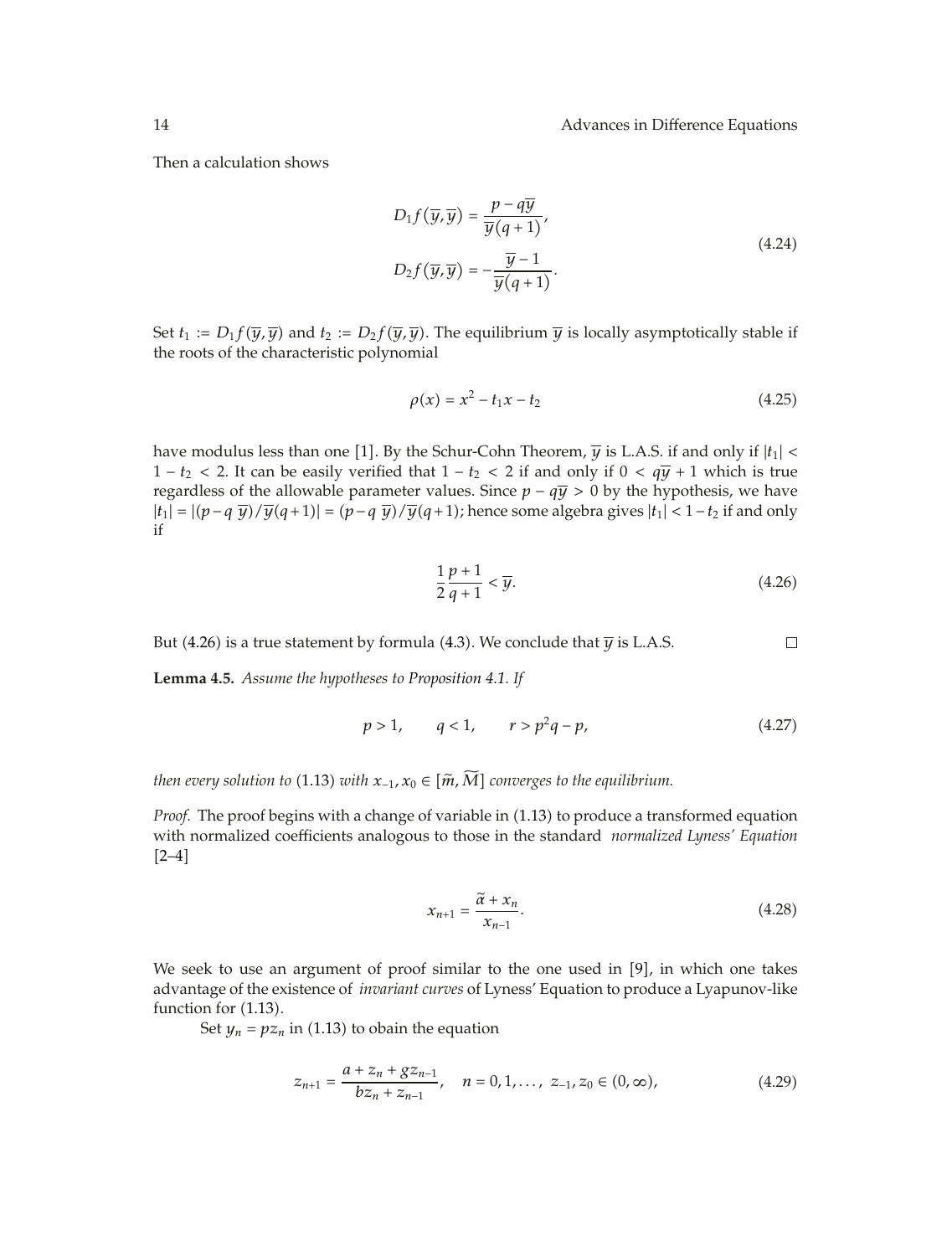Then a calculation shows

$$
D_1 f\left(\overline{y}, \overline{y}\right) = \frac{p - q\overline{y}}{\overline{y}(q+1)},
$$
  

$$
D_2 f\left(\overline{y}, \overline{y}\right) = -\frac{\overline{y} - 1}{\overline{y}(q+1)}.
$$
 (4.24)

Set  $t_1 := D_1 f(\overline{y}, \overline{y})$  and  $t_2 := D_2 f(\overline{y}, \overline{y})$ . The equilibrium  $\overline{y}$  is locally asymptotically stable if the roots of the characteristic polynomial

$$
\rho(x) = x^2 - t_1 x - t_2 \tag{4.25}
$$

have modulus less than one [1]. By the Schur-Cohn Theorem,  $\overline{y}$  is L.A.S. if and only if  $|t_1|$  < 1 −  $t_2$  < 2. It can be easily verified that 1 −  $t_2$  < 2 if and only if 0 <  $q\bar{y}$  + 1 which is true regardless of the allowable parameter values. Since  $p - q\overline{y} > 0$  by the hypothesis, we have  $|t_1|$  =  $|(p-q\bar{y})/\bar{y}(q+1)| = (p-q\bar{y})/\bar{y}(q+1)$ ; hence some algebra gives  $|t_1|$  < 1−*t*<sub>2</sub> if and only if

$$
\frac{1}{2}\frac{p+1}{q+1} < \overline{y}.\tag{4.26}
$$

But (4.26) is a true statement by formula (4.3). We conclude that  $\overline{y}$  is L.A.S.  $\Box$ 

**Lemma 4.5.** *Assume the hypotheses to Proposition 4.1. If*

$$
p > 1,
$$
  $q < 1,$   $r > p2q - p,$  (4.27)

*then every solution to* (1.13) *with*  $x_{-1}$ ,  $x_0 \in [\tilde{m}, \tilde{M}]$  *converges to the equilibrium.* 

*Proof.* The proof begins with a change of variable in (1.13) to produce a transformed equation with normalized coefficients analogous to those in the standard *normalized Lyness' Equation*  $\lceil 2-4 \rceil$ 

$$
x_{n+1} = \frac{\tilde{\alpha} + x_n}{x_{n-1}}.\tag{4.28}
$$

We seek to use an argument of proof similar to the one used in  $[9]$ , in which one takes advantage of the existence of *invariant curves* of Lyness' Equation to produce a Lyapunov-like function for  $(1.13)$ .

Set  $y_n = pz_n$  in (1.13) to obain the equation

$$
z_{n+1} = \frac{a + z_n + g z_{n-1}}{b z_n + z_{n-1}}, \quad n = 0, 1, ..., \ z_{-1}, z_0 \in (0, \infty), \tag{4.29}
$$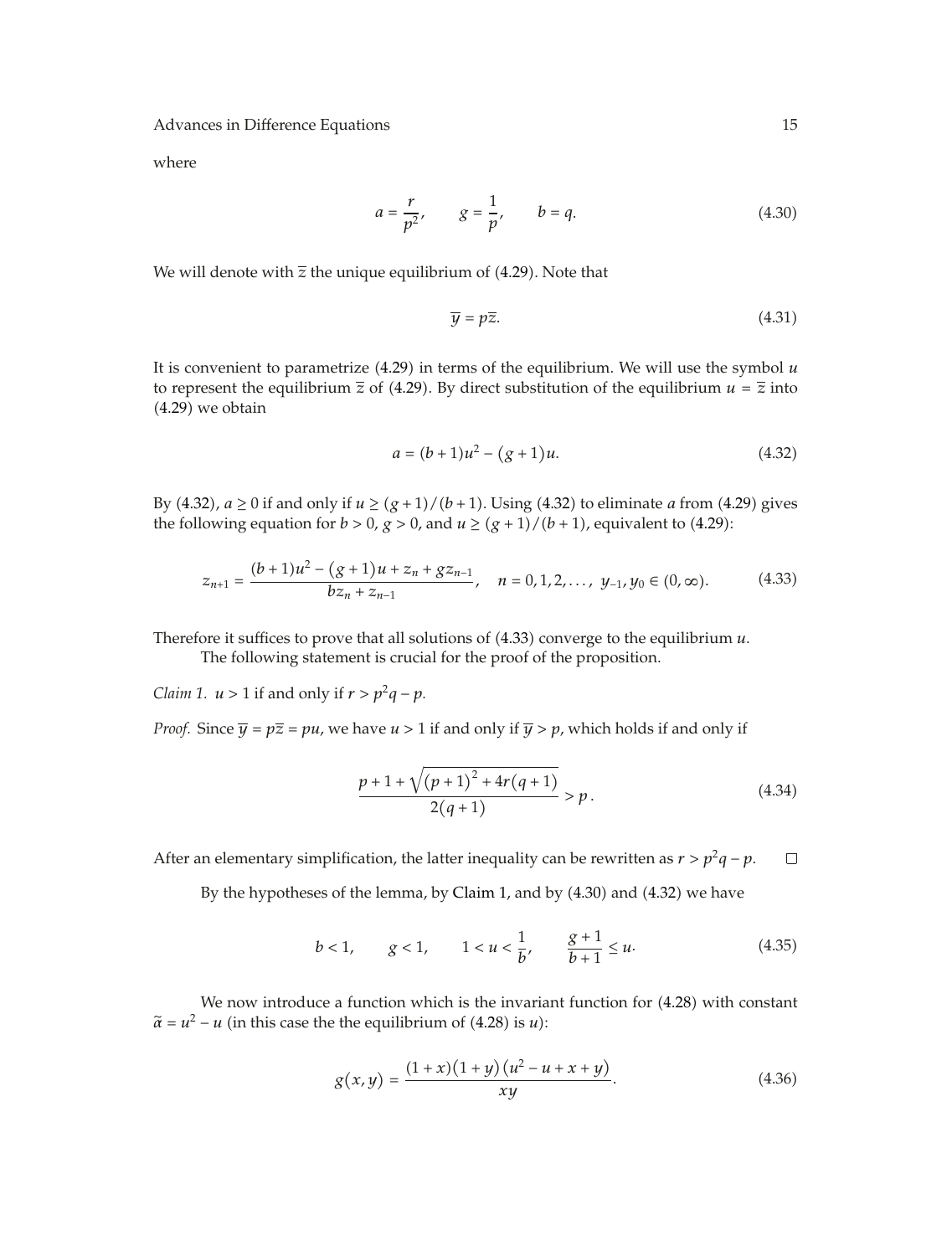where

$$
a = \frac{r}{p^2}, \qquad g = \frac{1}{p}, \qquad b = q.
$$
 (4.30)

We will denote with  $\overline{z}$  the unique equilibrium of (4.29). Note that

$$
\overline{y} = p\overline{z}.\tag{4.31}
$$

It is convenient to parametrize  $(4.29)$  in terms of the equilibrium. We will use the symbol  $u$ to represent the equilibrium  $\overline{z}$  of (4.29). By direct substitution of the equilibrium  $u = \overline{z}$  into 4.29 we obtain

$$
a = (b+1)u^2 - (g+1)u.
$$
 (4.32)

By (4.32),  $a \ge 0$  if and only if  $u \ge (g + 1)/(b + 1)$ . Using (4.32) to eliminate *a* from (4.29) gives the following equation for  $b > 0$ ,  $g > 0$ , and  $u \ge (g + 1)/(b + 1)$ , equivalent to (4.29):

$$
z_{n+1} = \frac{(b+1)u^2 - (g+1)u + z_n + gz_{n-1}}{bz_n + z_{n-1}}, \quad n = 0, 1, 2, ..., y_{-1}, y_0 \in (0, \infty).
$$
 (4.33)

Therefore it suffices to prove that all solutions of 4.33 converge to the equilibrium *u*.

The following statement is crucial for the proof of the proposition.

*Claim 1.*  $u > 1$  if and only if  $r > p^2q - p$ *.* 

*Proof.* Since  $\overline{y} = p\overline{z} = pu$ , we have  $u > 1$  if and only if  $\overline{y} > p$ , which holds if and only if

$$
\frac{p+1+\sqrt{(p+1)^2+4r(q+1)}}{2(q+1)} > p.
$$
\n(4.34)

After an elementary simplification, the latter inequality can be rewritten as  $r > p^2q - p$ .  $\Box$ 

By the hypotheses of the lemma, by Claim 1, and by (4.30) and (4.32) we have

$$
b < 1,
$$
  $g < 1,$   $1 < u < \frac{1}{b},$   $\frac{g+1}{b+1} \le u.$  (4.35)

We now introduce a function which is the invariant function for  $(4.28)$  with constant  $\tilde{\alpha} = u^2 - u$  (in this case the the equilibrium of (4.28) is *u*):

$$
g(x,y) = \frac{(1+x)(1+y)(u^2 - u + x + y)}{xy}.
$$
\n(4.36)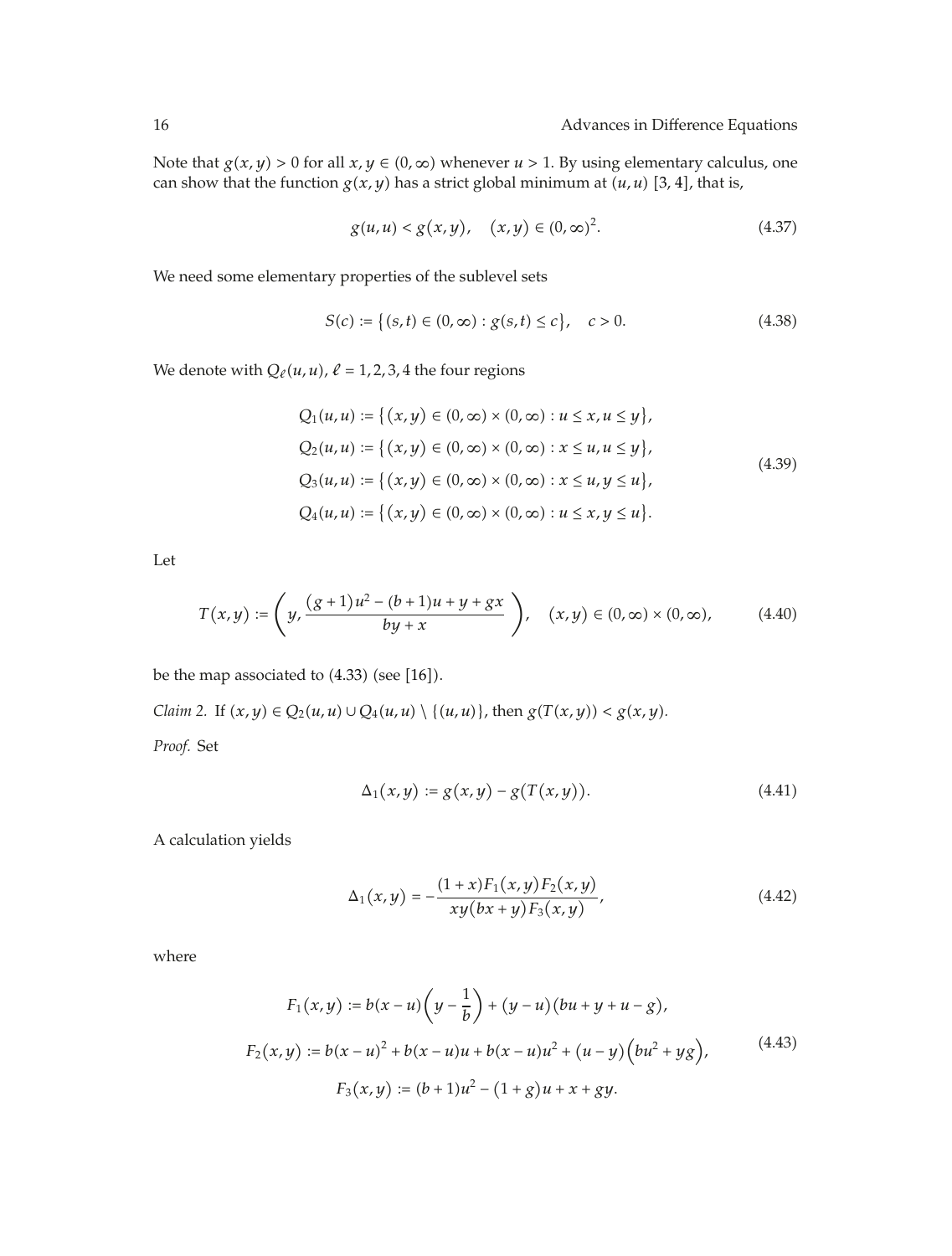Note that  $g(x, y) > 0$  for all  $x, y \in (0, \infty)$  whenever  $u > 1$ . By using elementary calculus, one can show that the function  $g(x, y)$  has a strict global minimum at  $(u, u)$  [3, 4], that is,

$$
g(u, u) < g(x, y), \quad (x, y) \in (0, \infty)^2. \tag{4.37}
$$

We need some elementary properties of the sublevel sets

$$
S(c) := \{(s, t) \in (0, \infty) : g(s, t) \le c\}, \quad c > 0.
$$
 (4.38)

We denote with  $Q_{\ell}(u, u)$ ,  $\ell = 1, 2, 3, 4$  the four regions

$$
Q_1(u, u) := \{(x, y) \in (0, \infty) \times (0, \infty) : u \le x, u \le y\},\
$$
  
\n
$$
Q_2(u, u) := \{(x, y) \in (0, \infty) \times (0, \infty) : x \le u, u \le y\},\
$$
  
\n
$$
Q_3(u, u) := \{(x, y) \in (0, \infty) \times (0, \infty) : x \le u, y \le u\},\
$$
  
\n
$$
Q_4(u, u) := \{(x, y) \in (0, \infty) \times (0, \infty) : u \le x, y \le u\}.
$$
  
\n(4.39)

Let

$$
T(x,y) := \left(y, \frac{(g+1)u^2 - (b+1)u + y + gx}{by + x}\right), \quad (x,y) \in (0,\infty) \times (0,\infty), \tag{4.40}
$$

be the map associated to  $(4.33)$  (see [16]).

*Claim 2.* If  $(x, y) \in Q_2(u, u) \cup Q_4(u, u) \setminus \{(u, u)\}\$ , then  $g(T(x, y)) < g(x, y)$ .

*Proof.* Set

$$
\Delta_1(x, y) := g(x, y) - g(T(x, y)).
$$
\n(4.41)

A calculation yields

$$
\Delta_1(x,y) = -\frac{(1+x)F_1(x,y)F_2(x,y)}{xy(bx+y)F_3(x,y)},
$$
\n(4.42)

where

$$
F_1(x,y) := b(x-u)\left(y-\frac{1}{b}\right) + (y-u)(bu+y+u-g),
$$
  
\n
$$
F_2(x,y) := b(x-u)^2 + b(x-u)u + b(x-u)u^2 + (u-y)\left(bu^2 + yg\right),
$$
  
\n
$$
F_3(x,y) := (b+1)u^2 - (1+g)u + x + gy.
$$
\n(4.43)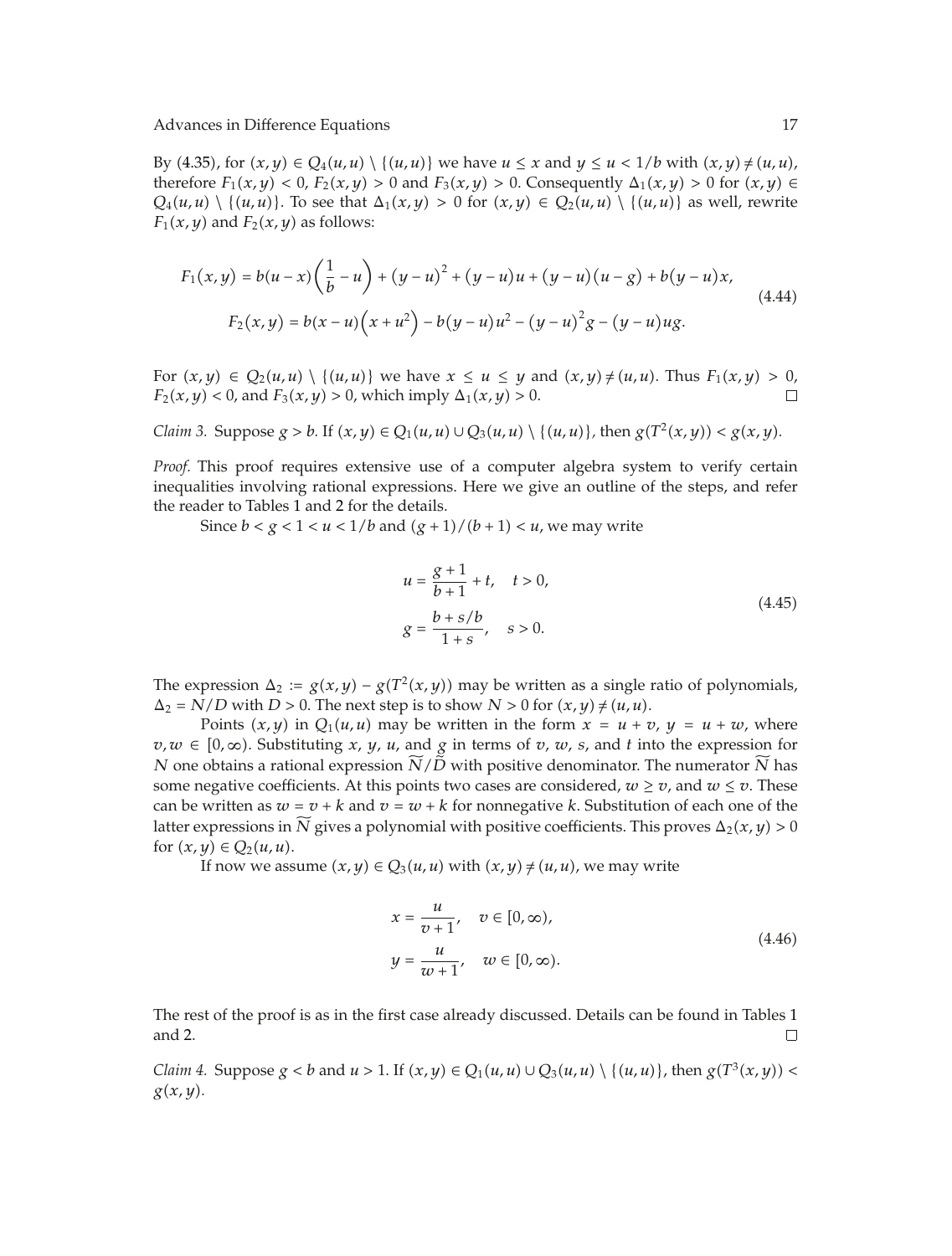By (4.35), for  $(x, y) \in Q_4(u, u) \setminus \{(u, u)\}$  we have  $u \le x$  and  $y \le u < 1/b$  with  $(x, y) \ne (u, u)$ , therefore  $F_1(x, y) < 0$ ,  $F_2(x, y) > 0$  and  $F_3(x, y) > 0$ . Consequently  $\Delta_1(x, y) > 0$  for  $(x, y) \in$  $Q_4(u, u) \setminus \{(u, u)\}\$ . To see that  $\Delta_1(x, y) > 0$  for  $(x, y) \in Q_2(u, u) \setminus \{(u, u)\}\$  as well, rewrite  $F_1(x, y)$  and  $F_2(x, y)$  as follows:

$$
F_1(x,y) = b(u-x)\left(\frac{1}{b}-u\right) + (y-u)^2 + (y-u)u + (y-u)(u-g) + b(y-u)x,
$$
  
\n
$$
F_2(x,y) = b(x-u)\left(x+u^2\right) - b(y-u)u^2 - (y-u)^2g - (y-u)ug.
$$
\n(4.44)

For  $(x, y) \in Q_2(u, u) \setminus \{(u, u)\}$  we have  $x \le u \le y$  and  $(x, y) \ne (u, u)$ . Thus  $F_1(x, y) > 0$ ,<br> $F_2(x, u) < 0$  and  $F_2(x, u) > 0$  which imply  $\Delta_1(x, u) > 0$ *F*<sub>2</sub> $(x, y) < 0$ , and *F*<sub>3</sub> $(x, y) > 0$ , which imply  $\Delta_1(x, y) > 0$ .

*Claim 3.* Suppose  $g > b$ *.* If  $(x, y) \in Q_1(u, u) \cup Q_3(u, u) \setminus \{(u, u)\}$ , then  $g(T^2(x, y)) < g(x, y)$ *.* 

*Proof.* This proof requires extensive use of a computer algebra system to verify certain inequalities involving rational expressions. Here we give an outline of the steps, and refer the reader to Tables 1 and 2 for the details.

Since  $b < g < 1 < u < 1/b$  and  $(g + 1)/(b + 1) < u$ , we may write

$$
u = \frac{g+1}{b+1} + t, \quad t > 0,
$$
  

$$
g = \frac{b+s/b}{1+s}, \quad s > 0.
$$
 (4.45)

The expression  $\Delta_2 := g(x, y) - g(T^2(x, y))$  may be written as a single ratio of polynomials,  $\Delta_2$  = *N/D* with *D* > 0. The next step is to show *N* > 0 for  $(x, y) \neq (u, u)$ .

Points  $(x, y)$  in  $Q_1(u, u)$  may be written in the form  $x = u + v$ ,  $y = u + w$ , where  $v, w \in [0, \infty)$ . Substituting *x*, *y*, *u*, and *g* in terms of *v*, *w*, *s*, and *t* into the expression for *N* one obtains a rational expression *N/D* with positive denominator. The numerator *N* has some negative coefficients. At this points two cases are considered,  $w \ge v$ , and  $w \le v$ . These can be written as  $w = v + k$  and  $v = w + k$  for nonnegative *k*. Substitution of each one of the latter expressions in *N* gives a polynomial with positive coefficients. This proves  $\Delta_2(x, y) > 0$ for  $(x, y) \in Q_2(u, u)$ .

If now we assume  $(x, y) \in Q_3(u, u)$  with  $(x, y) \neq (u, u)$ , we may write

$$
x = \frac{u}{v+1}, \quad v \in [0, \infty),
$$
  

$$
y = \frac{u}{w+1}, \quad w \in [0, \infty).
$$
 (4.46)

The rest of the proof is as in the first case already discussed. Details can be found in Tables 1 and 2.  $\Box$ 

*Claim 4.* Suppose  $g < b$  and  $u > 1$ . If  $(x, y) \in Q_1(u, u) \cup Q_3(u, u) \setminus \{(u, u)\}\)$ , then  $g(T^3(x, y)) <$ *gx, y.*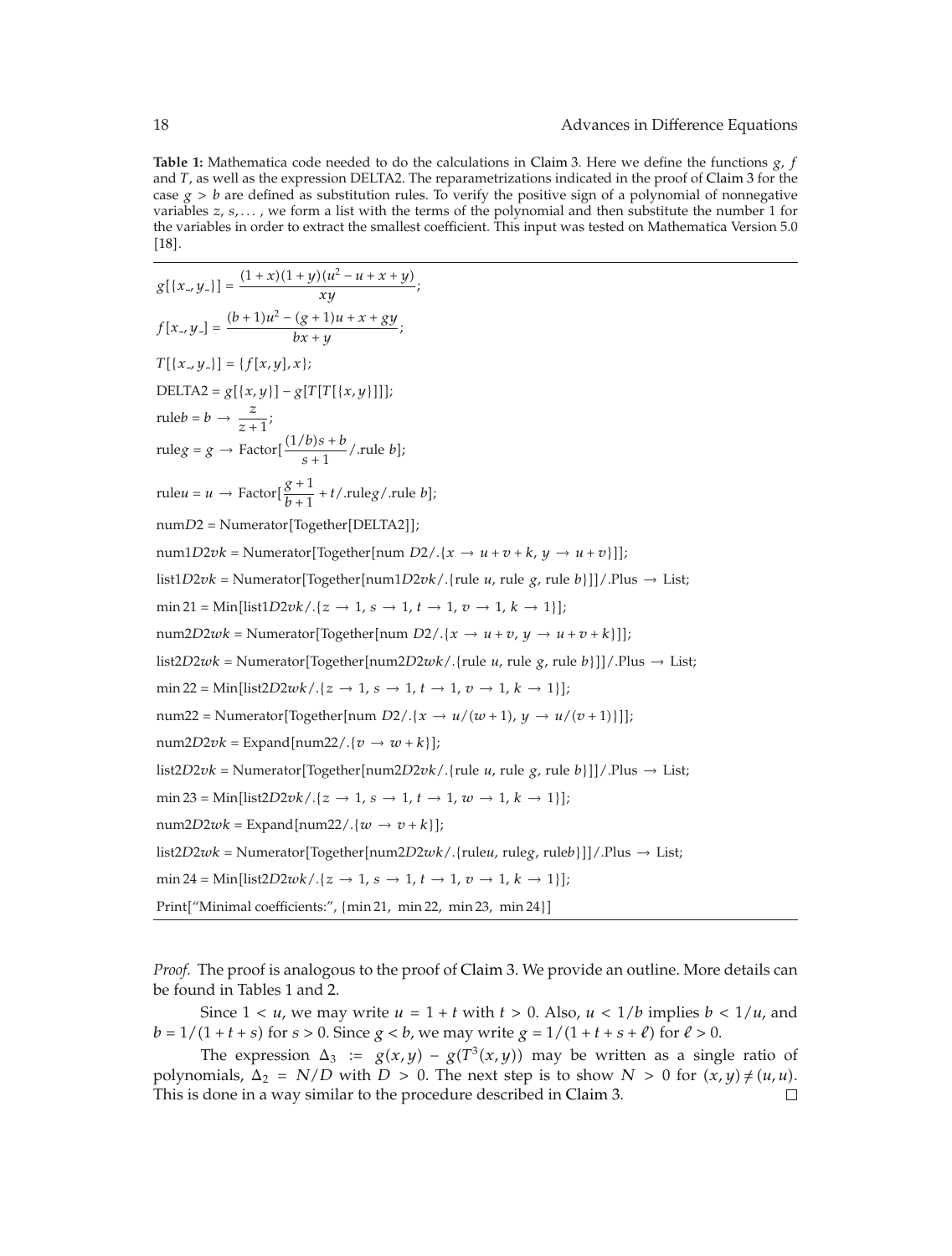**Table 1:** Mathematica code needed to do the calculations in Claim 3. Here we define the functions *<sup>g</sup>*, *<sup>f</sup>* and *T*, as well as the expression DELTA2. The reparametrizations indicated in the proof of Claim 3 for the case  $g > b$  are defined as substitution rules. To verify the positive sign of a polynomial of nonnegative variables *z*, *s, . . .* , we form a list with the terms of the polynomial and then substitute the number 1 for the variables in order to extract the smallest coefficient. This input was tested on Mathematica Version 5.0  $[18]$ .

```
g[{x, y]} = \frac{(1+x)(1+y)(u^2-u+x+y)}{xy};f[x_{-}, y_{-}] = \frac{(b+1)u^2 - (g+1)u + x + gy}{bx + y};T[{x_1, y_1}] = {f[x, y], x};
DELTA2 = g[{x,y}] - g[T[T[{x,y}]]];ruleb = b \rightarrow \frac{z}{z+1};
                z + 1ruleg = g \rightarrow Factor[\frac{(1/b)s + b}{s+1}/.rule b];
ruleu = u \rightarrow Factor[\frac{g+1}{b+1} + t/.ruleg/.rule b];
numD2 = Numerator[Together[DELTA2]];num1D2vk = Numerator[Together[num D2/.{<i>x</i> → <i>u</i> + <i>v</i> + <i>k</i>, <i>y</i> → <i>u</i> + <i>v</i>}]];list1D2vk = Numerator[Together(num1D2vk/.{rule u, rule g, rule b}]]/.Plus \rightarrow List;
\min 21 = \text{Min}[\text{list1}D2vk/.\{z \to 1, s \to 1, t \to 1, v \to 1, k \to 1\}];num2D2wk = Numerator[Together[num D2/.{<i>x</i> → <i>u</i> + <i>v</i>, <i>y</i> → <i>u</i> + <i>v</i> + <i>k</i>}]];list2D2wk = Numerator[Together(num2D2wk/.{rule u, rule g, rule b}]]/.Plus \rightarrow List;
\min 22 = \text{Min}[\text{list2D2}wk/.\{z \to 1, s \to 1, t \to 1, v \to 1, k \to 1\}];num22 = \text{Numerator}[\text{Together}[\text{num } D2 / . \{x \rightarrow u/(w+1), y \rightarrow u/(v+1)\}]];num2D2vk = Expand[num22/.{v \rightarrow w+k}list2D2vk = Numerator[Together(num2D2vk/.{rule u, rule g, rule b}]]/.Plus \rightarrow List;
\min 23 = \text{Min}[\text{list2D2<i>vk</i>}/. \{z \to 1, s \to 1, t \to 1, w \to 1, k \to 1\}];num2D2wk = Expand[num22/.\{w \rightarrow v + k\};
list2D2wk = Numerator[Together[num2D2wk/.{ruleu, ruleg, ruleb}]/.Plus \rightarrow List;
\min 24 = \text{Min}[\text{list2D2}wk/\sqrt{z} \to 1, s \to 1, t \to 1, v \to 1, k \to 1\};
Print"Minimal coefficients:", {min 21, min 22, min 23, min 24}
```
*Proof.* The proof is analogous to the proof of Claim 3. We provide an outline. More details can be found in Tables 1 and 2.

Since  $1 < u$ , we may write  $u = 1 + t$  with  $t > 0$ . Also,  $u < 1/b$  implies  $b < 1/u$ , and  $b = 1/(1 + t + s)$  for  $s > 0$ . Since  $g < b$ , we may write  $g = 1/(1 + t + s + \ell)$  for  $\ell > 0$ .

The expression  $\Delta_3 := g(x, y) - g(T^3(x, y))$  may be written as a single ratio of polynomials,  $\Delta_2 = N/D$  with  $D > 0$ . The next step is to show  $N > 0$  for  $(x, y) \neq (u, u)$ . This is done in a way similar to the procedure described in Claim 3. $\Box$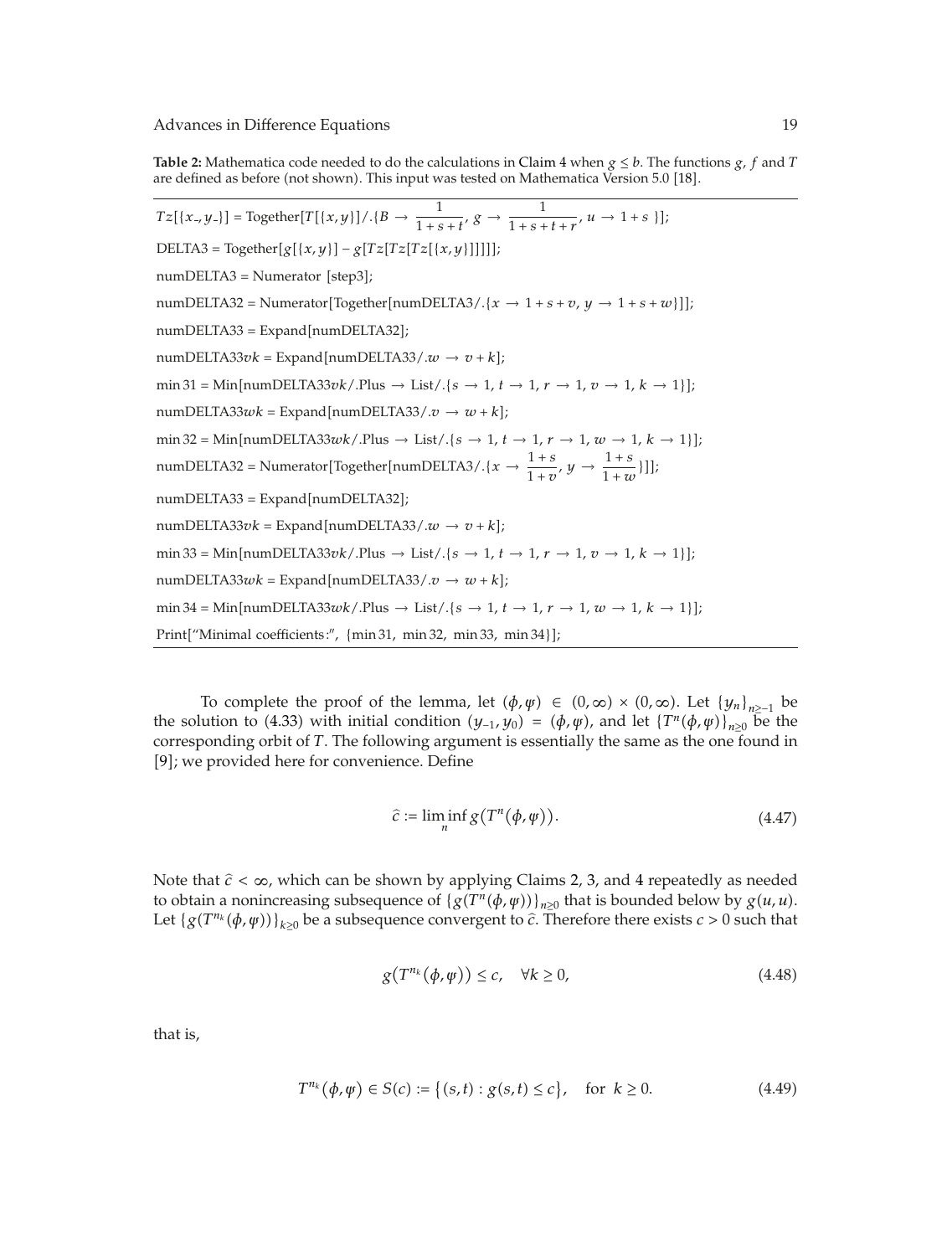**Table 2:** Mathematica code needed to do the calculations in Claim 4 when  $g \leq b$ . The functions *g*, *f* and *T* are defined as before (not shown). This input was tested on Mathematica Version 5.0 [18].

 $Tz[\{x, y\}]\} = \text{Together}[T[\{x, y\}]/\{B \to \frac{1}{1+s+t}, g \to \frac{1}{1+s+t+r}, u \to 1+s\}]$ ;  $DELTA3 = Together[g[{x, y}] - g[Tz[Tz][x, y]]]]$  $numDELTA3 = Numerator [step3];$  $numDELTA32 = Numerator[Together[numDELTA3/.{*x* → 1 + *s* + *v*, *y* → 1 + *s* + *w*}]];$ numDELTA33 = Expand[numDELTA32]; numDELTA33*vk* = Expand[numDELTA33/. $w \rightarrow v + k$ ];  $\min 31 = \text{Min}[\text{numDELTA33}vk / . \text{Plus} \rightarrow \text{List}/. \{s \rightarrow 1, t \rightarrow 1, r \rightarrow 1, v \rightarrow 1, k \rightarrow 1\}];$  $numDELTA33wk = Expand[numDELTA33/.v \rightarrow w + k];$  $\min 32 = \text{Min}[\text{numDELTA33}wk/.$ Plus  $\rightarrow$  List/. $\{s \rightarrow 1, t \rightarrow 1, r \rightarrow 1, w \rightarrow 1, k \rightarrow 1\}$ ;  $\text{numDELTA32} = \text{Numerator}[\text{Together}[\text{numDELTA3} / . \{x \rightarrow \frac{1+s}{1+v}, y \rightarrow \frac{1+s}{1+w}\}]]$  $numDELTA33 = Expand[numDELTA32];$  $numDELTA33vk = Expand[numDELTA33/.w \rightarrow v + k];$  $\min 33 = \text{Min}[\text{numDELTA33}vk/. \text{Plus} \rightarrow \text{List}/.\{s \rightarrow 1, t \rightarrow 1, r \rightarrow 1, v \rightarrow 1, k \rightarrow 1\}];$  $numDELTA33wk = Expand[numDELTA33/.v \rightarrow w + k];$  $\min 34 = \text{Min}[\text{numDELTA33}wk / \text{.Plus} \rightarrow \text{List} / \text{.} \{s \rightarrow 1, t \rightarrow 1, r \rightarrow 1, w \rightarrow 1, k \rightarrow 1\}];$ Print["Minimal coefficients:", {min 31, min 32, min 33, min 34}];

To complete the proof of the lemma, let  $(\phi, \psi) \in (0, \infty) \times (0, \infty)$ . Let  $\{y_n\}_{n>1}$  be the solution to (4.33) with initial condition  $(y_{-1}, y_0) = (\phi, \psi)$ , and let  $\{T^n(\phi, \psi)\}_{n>0}$  be the corresponding orbit of *T*. The following argument is essentially the same as the one found in [9]; we provided here for convenience. Define

$$
\hat{c} := \liminf_{n} g(T^n(\phi, \varphi)). \tag{4.47}
$$

Note that *c <* <sup>∞</sup>, which can be shown by applying Claims 2, 3, and <sup>4</sup> repeatedly as needed to obtain a nonincreasing subsequence of  ${g(T^n(\phi, \psi))}_{n>0}$  that is bounded below by  $g(u, u)$ . Let  ${g(T^{n_k}(\phi, \psi))}_{k \geq 0}$  be a subsequence convergent to  $\hat{c}$ . Therefore there exists  $c > 0$  such that

$$
g(T^{n_k}(\phi,\psi)) \le c, \quad \forall k \ge 0,
$$
\n(4.48)

that is,

$$
T^{n_k}(\phi, \psi) \in S(c) := \{(s, t) : g(s, t) \le c\}, \quad \text{for } k \ge 0.
$$
 (4.49)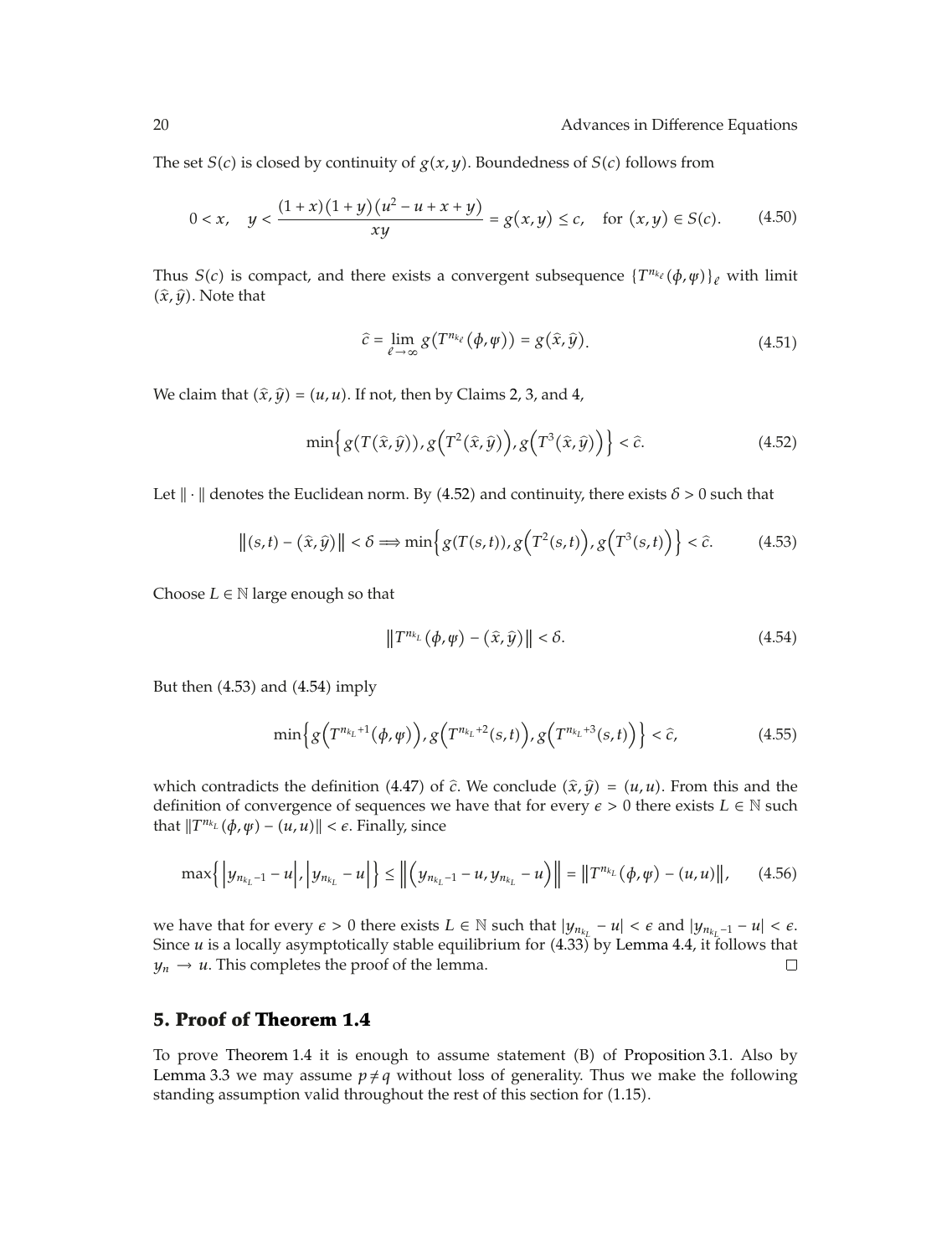The set *S*(*c*) is closed by continuity of  $g(x, y)$ . Boundedness of *S*(*c*) follows from

$$
0 < x, \quad y < \frac{(1+x)(1+y)(u^2 - u + x + y)}{xy} = g(x, y) \le c, \quad \text{for } (x, y) \in S(c). \tag{4.50}
$$

Thus *S*(*c*) is compact, and there exists a convergent subsequence  ${T^{n_{k_\ell}}}(\phi, \psi)_{\ell}$  with limit  $(\hat{x}, \hat{y})$ . Note that

$$
\hat{c} = \lim_{\ell \to \infty} g(T^{n_{k_{\ell}}}(\phi, \psi)) = g(\hat{x}, \hat{y}). \tag{4.51}
$$

We claim that  $(\hat{x}, \hat{y}) = (u, u)$ . If not, then by Claims 2, 3, and 4,

$$
\min\left\{g(T(\hat{x}, \hat{y})), g(T^2(\hat{x}, \hat{y})), g(T^3(\hat{x}, \hat{y}))\right\} < \hat{c}.\tag{4.52}
$$

Let  $\|\cdot\|$  denotes the Euclidean norm. By (4.52) and continuity, there exists  $\delta > 0$  such that

$$
\|(s,t) - (\hat{x}, \hat{y})\| < \delta \Longrightarrow \min\left\{g(T(s,t)), g\left(T^2(s,t)\right), g\left(T^3(s,t)\right)\right\} < \hat{c}.\tag{4.53}
$$

Choose  $L \in \mathbb{N}$  large enough so that

$$
\|T^{n_{k_L}}(\phi,\psi) - (\hat{x},\hat{y})\| < \delta. \tag{4.54}
$$

But then  $(4.53)$  and  $(4.54)$  imply

$$
\min\Big\{g\Big(T^{n_{k_L}+1}(\phi,\psi)\Big),g\Big(T^{n_{k_L}+2}(s,t)\Big),g\Big(T^{n_{k_L}+3}(s,t)\Big)\Big\}<\hat{c},\tag{4.55}
$$

which contradicts the definition (4.47) of  $\hat{c}$ . We conclude  $(\hat{x}, \hat{y}) = (u, u)$ . From this and the definition of convergence of sequences we have that for every  $\epsilon > 0$  there exists  $L \in \mathbb{N}$  such that  $||T^{n_{k_L}}(\phi, \psi) - (u, u)|| < \epsilon$ . Finally, since

$$
\max\left\{ \left| y_{n_{k_L}-1} - u \right|, \left| y_{n_{k_L}} - u \right| \right\} \le \left\| \left( y_{n_{k_L}-1} - u, y_{n_{k_L}} - u \right) \right\| = \left\| T^{n_{k_L}}(\phi, \phi) - (u, u) \right\|, \tag{4.56}
$$

we have that for every  $\epsilon > 0$  there exists  $L \in \mathbb{N}$  such that  $|y_{n_{k_L}} - u| < \epsilon$  and  $|y_{n_{k_L}-1} - u| < \epsilon$ . Since  $u$  is a locally asymptotically stable equilibrium for  $(4.33)$  by Lemma 4.4, it follows that  $y_n \to u$ . This completes the proof of the lemma.  $\Box$ 

### **5. Proof of Theorem 1.4**

To prove Theorem 1.4 it is enough to assume statement  $(B)$  of Proposition 3.1. Also by Lemma 3.3 we may assume  $p \neq q$  without loss of generality. Thus we make the following standing assumption valid throughout the rest of this section for (1.15).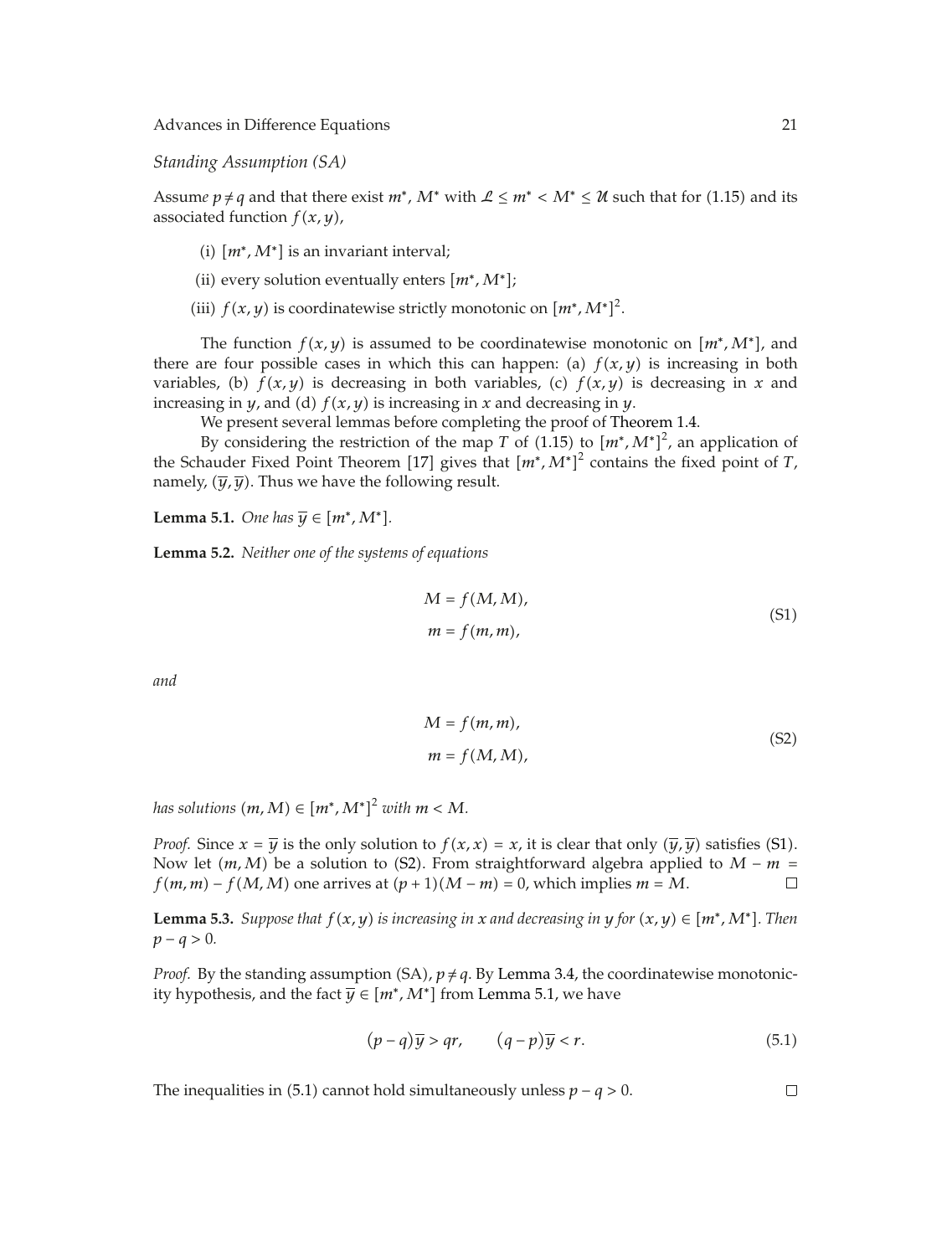*Standing Assumption (SA)*

Assume  $p \neq q$  and that there exist  $m^*$ ,  $M^*$  with  $\mathcal{L} \leq m^* < M^* \leq \mathcal{U}$  such that for (1.15) and its associated function  $f(x, y)$ ,

- (i)  $[m^*, M^*]$  is an invariant interval;
- (ii) every solution eventually enters  $[m^*, M^*];$
- (iii)  $f(x, y)$  is coordinatewise strictly monotonic on  $[m^*, M^*]^2$ .

The function  $f(x, y)$  is assumed to be coordinatewise monotonic on  $[m^*, M^*]$ , and there are four possible cases in which this can happen: (a)  $f(x, y)$  is increasing in both variables, (b)  $f(x, y)$  is decreasing in both variables, (c)  $f(x, y)$  is decreasing in *x* and increasing in *y*, and (d)  $f(x, y)$  is increasing in *x* and decreasing in *y*.

We present several lemmas before completing the proof of Theorem 1.4.

By considering the restriction of the map *T* of (1.15) to  $[m^*, M^*]^2$ , an application of the Schauder Fixed Point Theorem [17] gives that  $[m^*, M^*]^2$  contains the fixed point of *T*, namely,  $(\overline{y}, \overline{y})$ . Thus we have the following result.

**Lemma 5.1.** *One has*  $\overline{y} \in [m^*, M^*]$ *.* 

**Lemma 5.2.** *Neither one of the systems of equations*

$$
M = f(M, M),
$$
  
\n
$$
m = f(m, m),
$$
\n(S1)

*and*

$$
M = f(m, m),
$$
  
\n
$$
m = f(M, M),
$$
\n(S2)

*has solutions*  $(m, M) \in [m^*, M^*]^2$  *with*  $m < M$ .

*Proof.* Since  $x = \overline{y}$  is the only solution to  $f(x, x) = x$ , it is clear that only  $(\overline{y}, \overline{y})$  satisfies (S1). Now let  $(m, M)$  be a solution to (S2). From straightforward algebra applied to *M* − *m* =  $f(m, m) - f(M, M)$  one arrives at  $(p + 1)(M - m) = 0$ , which implies  $m = M$ .  $f(m, m) - f(M, M)$  one arrives at  $(p + 1)(M - m) = 0$ , which implies  $m = M$ .

**Lemma 5.3.** *Suppose that*  $f(x, y)$  *is increasing in x and decreasing in y for*  $(x, y) \in [m^*, M^*]$ *. Then p* − *q* > 0*.* 

*Proof.* By the standing assumption  $(SA)$ ,  $p \neq q$ . By Lemma 3.4, the coordinatewise monotonicity hypothesis, and the fact  $\overline{y} \in [m^*, M^*]$  from Lemma 5.1, we have

$$
(p-q)\overline{y} > qr, \qquad (q-p)\overline{y} < r. \tag{5.1}
$$

The inequalities in  $(5.1)$  cannot hold simultaneously unless  $p - q > 0$ .

 $\Box$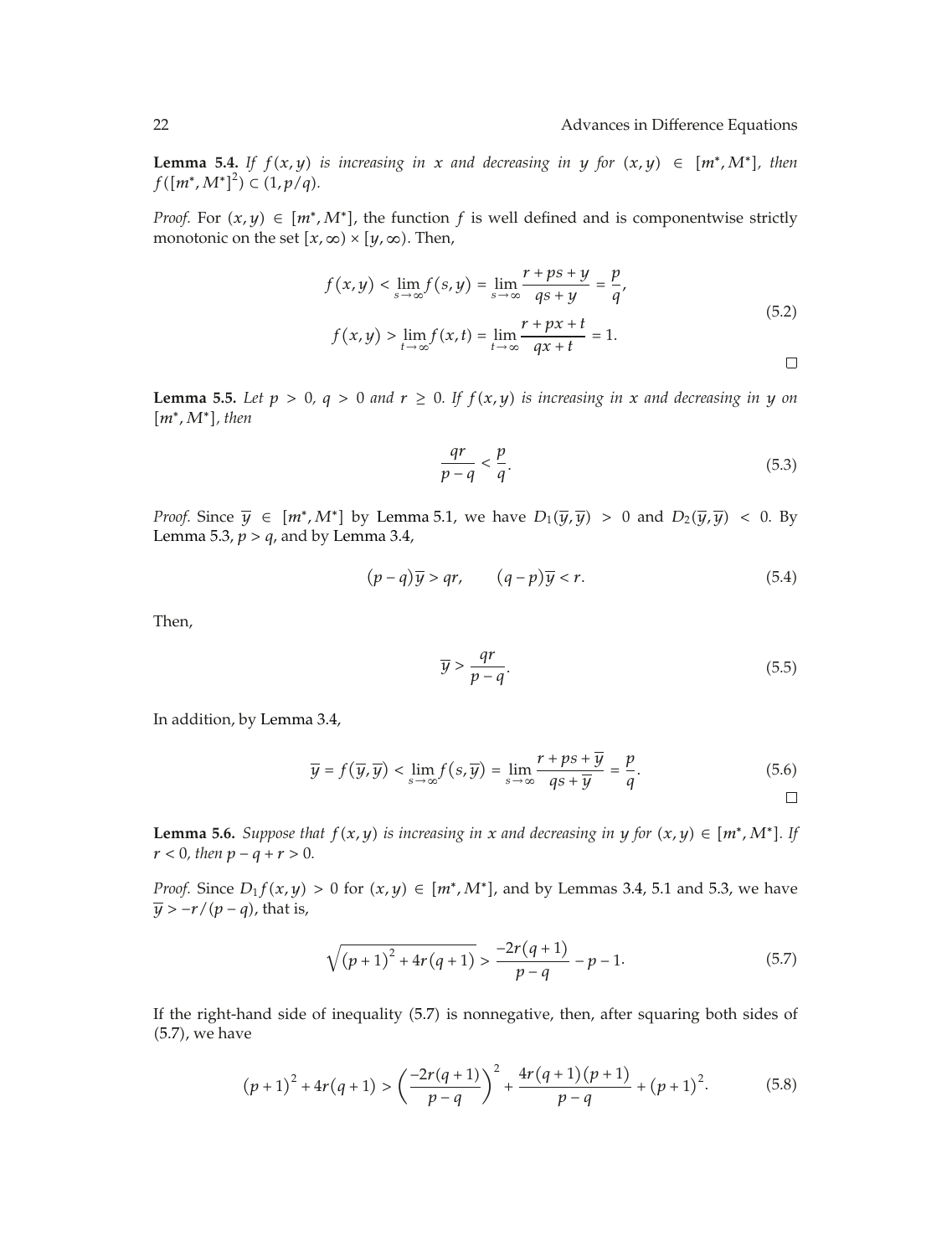**Lemma 5.4.** *If*  $f(x, y)$  *is increasing in x and decreasing in y for*  $(x, y) \in [m^*, M^*]$ *, then*  $f([m^*, M^*]^2) \subset (1, p/q).$ 

*Proof.* For  $(x, y) \in [m^*, M^*]$ , the function f is well defined and is componentwise strictly monotonic on the set  $[x, \infty) \times [y, \infty)$ . Then,

$$
f(x,y) < \lim_{s \to \infty} f(s,y) = \lim_{s \to \infty} \frac{r + ps + y}{qs + y} = \frac{p}{q'},
$$
\n
$$
f(x,y) > \lim_{t \to \infty} f(x,t) = \lim_{t \to \infty} \frac{r + px + t}{qx + t} = 1.
$$
\n
$$
\Box
$$

**Lemma 5.5.** Let  $p > 0$ ,  $q > 0$  and  $r \ge 0$ . If  $f(x, y)$  is increasing in x and decreasing in y on *m*∗*,M*∗*, then*

$$
\frac{qr}{p-q} < \frac{p}{q}.\tag{5.3}
$$

*Proof.* Since  $\overline{y} \in [m^*, M^*]$  by Lemma 5.1, we have  $D_1(\overline{y}, \overline{y}) > 0$  and  $D_2(\overline{y}, \overline{y}) < 0$ . By Lemma 5.3,  $p > q$ , and by Lemma 3.4,

$$
(p-q)\overline{y} > qr, \qquad (q-p)\overline{y} < r. \tag{5.4}
$$

Then,

$$
\overline{y} > \frac{qr}{p-q}.\tag{5.5}
$$

In addition, by Lemma 3.4,

$$
\overline{y} = f(\overline{y}, \overline{y}) < \lim_{s \to \infty} f(s, \overline{y}) = \lim_{s \to \infty} \frac{r + ps + \overline{y}}{qs + \overline{y}} = \frac{p}{q}.\tag{5.6}
$$

**Lemma 5.6.** *Suppose that*  $f(x, y)$  *is increasing in x and decreasing in y for*  $(x, y) \in [m^*, M^*]$ *. If*  $r < 0$ *, then*  $p - q + r > 0$ *.* 

*Proof.* Since  $D_1 f(x, y) > 0$  for  $(x, y) \in [m^*, M^*]$ , and by Lemmas 3.4, 5.1 and 5.3, we have  $\overline{y}$  >  $-r/(p-q)$ , that is,

$$
\sqrt{(p+1)^2 + 4r(q+1)} > \frac{-2r(q+1)}{p-q} - p - 1.
$$
\n(5.7)

If the right-hand side of inequality (5.7) is nonnegative, then, after squaring both sides of 5.7, we have

$$
(p+1)^2 + 4r(q+1) > \left(\frac{-2r(q+1)}{p-q}\right)^2 + \frac{4r(q+1)(p+1)}{p-q} + (p+1)^2.
$$
 (5.8)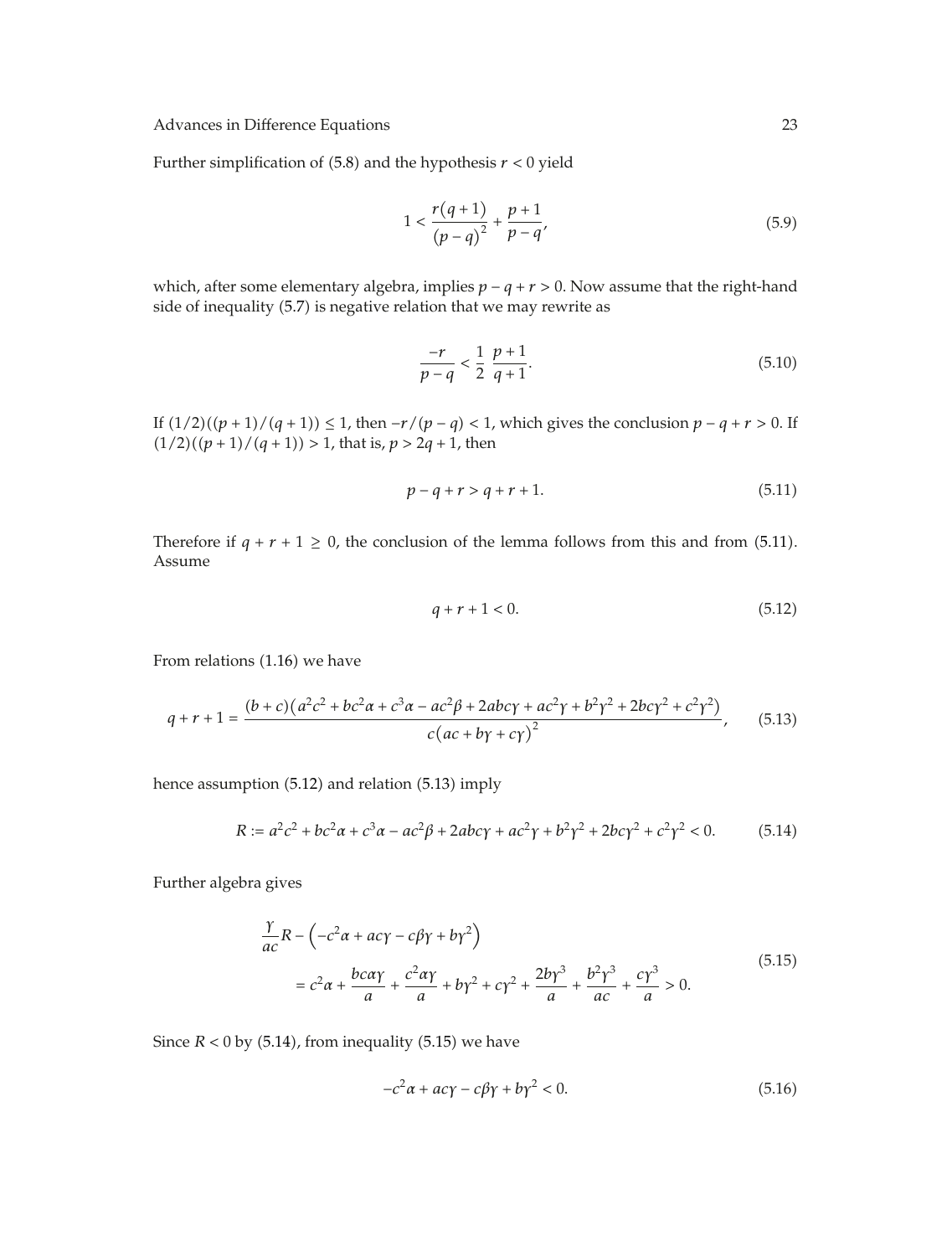Further simplification of  $(5.8)$  and the hypothesis  $r < 0$  yield

$$
1 < \frac{r(q+1)}{(p-q)^2} + \frac{p+1}{p-q'},
$$
\n(5.9)

which, after some elementary algebra, implies *p* − *q r >* 0. Now assume that the right-hand side of inequality (5.7) is negative relation that we may rewrite as

$$
\frac{-r}{p-q} < \frac{1}{2} \frac{p+1}{q+1}.\tag{5.10}
$$

If  $(1/2)((p + 1)/(q + 1)) ≤ 1$ , then  $-r/(p - q) < 1$ , which gives the conclusion  $p - q + r > 0$ . If  $(1/2)((p + 1)/(q + 1)) > 1$ , that is,  $p > 2q + 1$ , then

$$
p - q + r > q + r + 1. \tag{5.11}
$$

Therefore if  $q + r + 1 \ge 0$ , the conclusion of the lemma follows from this and from (5.11). Assume

$$
q + r + 1 < 0. \tag{5.12}
$$

From relations  $(1.16)$  we have

$$
q + r + 1 = \frac{(b+c)(a^2c^2 + bc^2a + c^3a - ac^2\beta + 2abc\gamma + ac^2\gamma + b^2\gamma^2 + 2bc\gamma^2 + c^2\gamma^2)}{c(ac + b\gamma + c\gamma)^2},
$$
(5.13)

hence assumption (5.12) and relation (5.13) imply

$$
R := a^{2}c^{2} + bc^{2}a + c^{3}a - ac^{2}\beta + 2abc\gamma + ac^{2}\gamma + b^{2}\gamma^{2} + 2bc\gamma^{2} + c^{2}\gamma^{2} < 0.
$$
 (5.14)

Further algebra gives

$$
\frac{\gamma}{ac}R - \left(-c^2\alpha + ac\gamma - c\beta\gamma + b\gamma^2\right)
$$
\n
$$
= c^2\alpha + \frac{bc\alpha\gamma}{a} + \frac{c^2\alpha\gamma}{a} + b\gamma^2 + c\gamma^2 + \frac{2b\gamma^3}{a} + \frac{b^2\gamma^3}{ac} + \frac{c\gamma^3}{a} > 0. \tag{5.15}
$$

Since  $R < 0$  by (5.14), from inequality (5.15) we have

$$
-c^2\alpha + ac\gamma - c\beta\gamma + b\gamma^2 < 0. \tag{5.16}
$$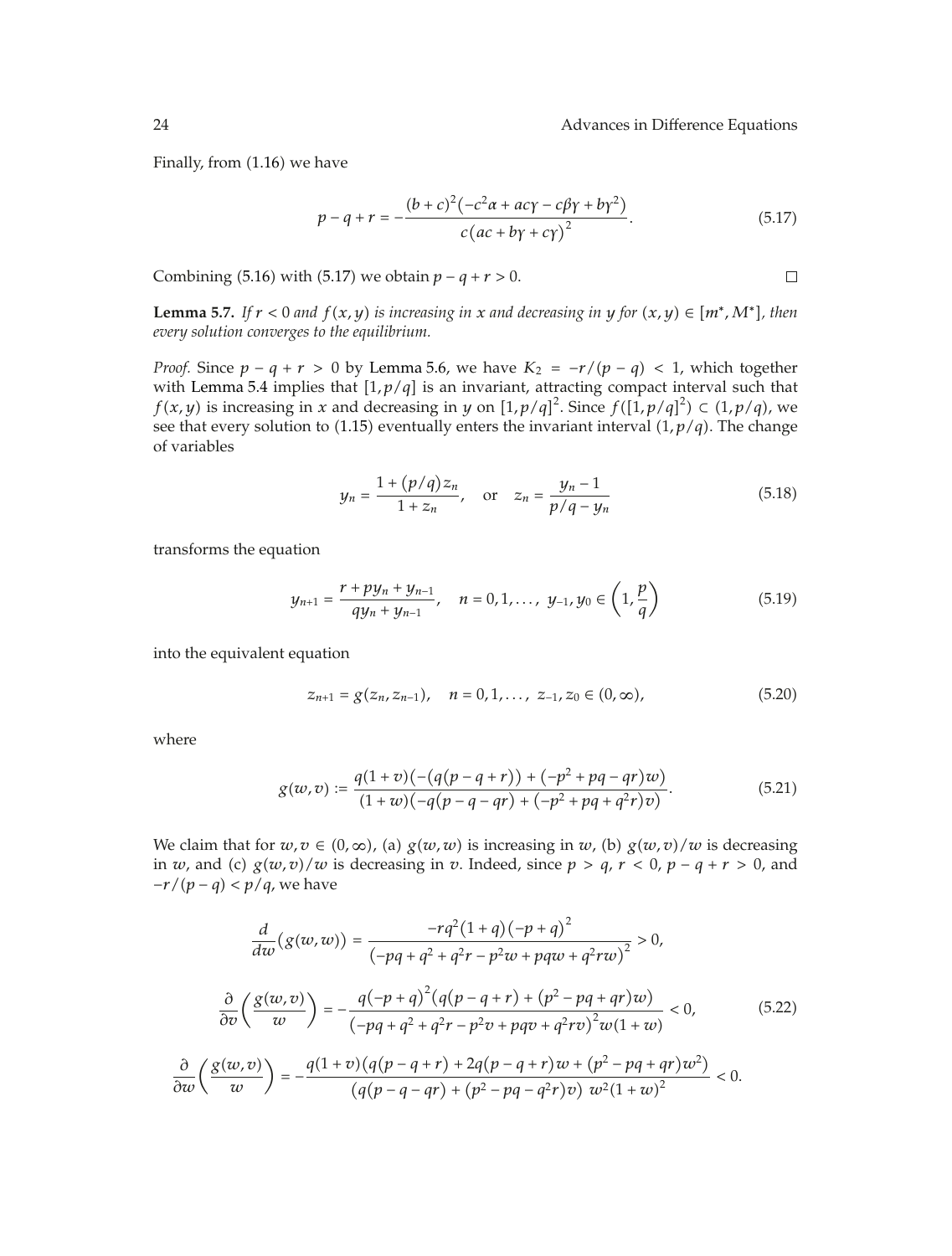$\Box$ 

Finally, from  $(1.16)$  we have

$$
p - q + r = -\frac{(b + c)^2 (-c^2 \alpha + ac\gamma - c\beta\gamma + b\gamma^2)}{c(ac + b\gamma + c\gamma)^2}.
$$
 (5.17)

Combining (5.16) with (5.17) we obtain  $p - q + r > 0$ .

**Lemma 5.7.** *If*  $r < 0$  *and*  $f(x, y)$  *is increasing in x and* decreasing *in y for*  $(x, y) \in [m^*, M^*]$ *, then every solution converges to the equilibrium.*

*Proof.* Since  $p - q + r > 0$  by Lemma 5.6, we have  $K_2 = -r/(p - q) < 1$ , which together with Lemma 5.4 implies that  $[1, p/q]$  is an invariant, attracting compact interval such that *f*(*x*, *y*) is increasing in *x* and decreasing in *y* on  $[1, p/q]^2$ . Since  $f([1, p/q]^2) \subset (1, p/q)$ , we see that every solution to (1.15) eventually enters the invariant interval  $(1, p/q)$ . The change of variables

$$
y_n = \frac{1 + (p/q)z_n}{1 + z_n}
$$
, or  $z_n = \frac{y_n - 1}{p/q - y_n}$  (5.18)

transforms the equation

$$
y_{n+1} = \frac{r + py_n + y_{n-1}}{qy_n + y_{n-1}}, \quad n = 0, 1, ..., y_{-1}, y_0 \in \left(1, \frac{p}{q}\right)
$$
 (5.19)

into the equivalent equation

$$
z_{n+1} = g(z_n, z_{n-1}), \quad n = 0, 1, ..., \ z_{-1}, z_0 \in (0, \infty), \tag{5.20}
$$

where

$$
g(w,v) := \frac{q(1+v)\left(-\left(q(p-q+r)\right) + \left(-p^2 + pq - qr\right)w\right)}{(1+w)\left(-q(p-q-qr) + \left(-p^2 + pq + q^2r\right)v\right)}.
$$
\n(5.21)

We claim that for  $w, v \in (0, \infty)$ , (a)  $g(w, w)$  is increasing in  $w$ , (b)  $g(w, v)/w$  is decreasing in *w*, and (c)  $g(w, v)/w$  is decreasing in *v*. Indeed, since  $p > q$ ,  $r < 0$ ,  $p - q + r > 0$ , and *−r*/*(p − q)* < *p*/*q*, we have

$$
\frac{d}{dw}(g(w,w)) = \frac{-rq^2(1+q)(-p+q)^2}{(-pq+q^2+q^2r-p^2w+pqw+q^2rw)^2} > 0,
$$
\n
$$
\frac{\partial}{\partial v}\left(\frac{g(w,v)}{w}\right) = -\frac{q(-p+q)^2(q(p-q+r)+(p^2-pq+qr)w)}{(-pq+q^2+q^2r-p^2v+pqv+q^2rv)^2w(1+w)} < 0,
$$
\n
$$
\frac{\partial}{\partial w}\left(\frac{g(w,v)}{w}\right) = -\frac{q(1+v)(q(p-q+r)+2q(p-q+r)w+(p^2-pq+qr)w^2)}{(q(p-q-qr)+(p^2-pq-q^2r)v)w^2(1+w)^2} < 0.
$$
\n(5.22)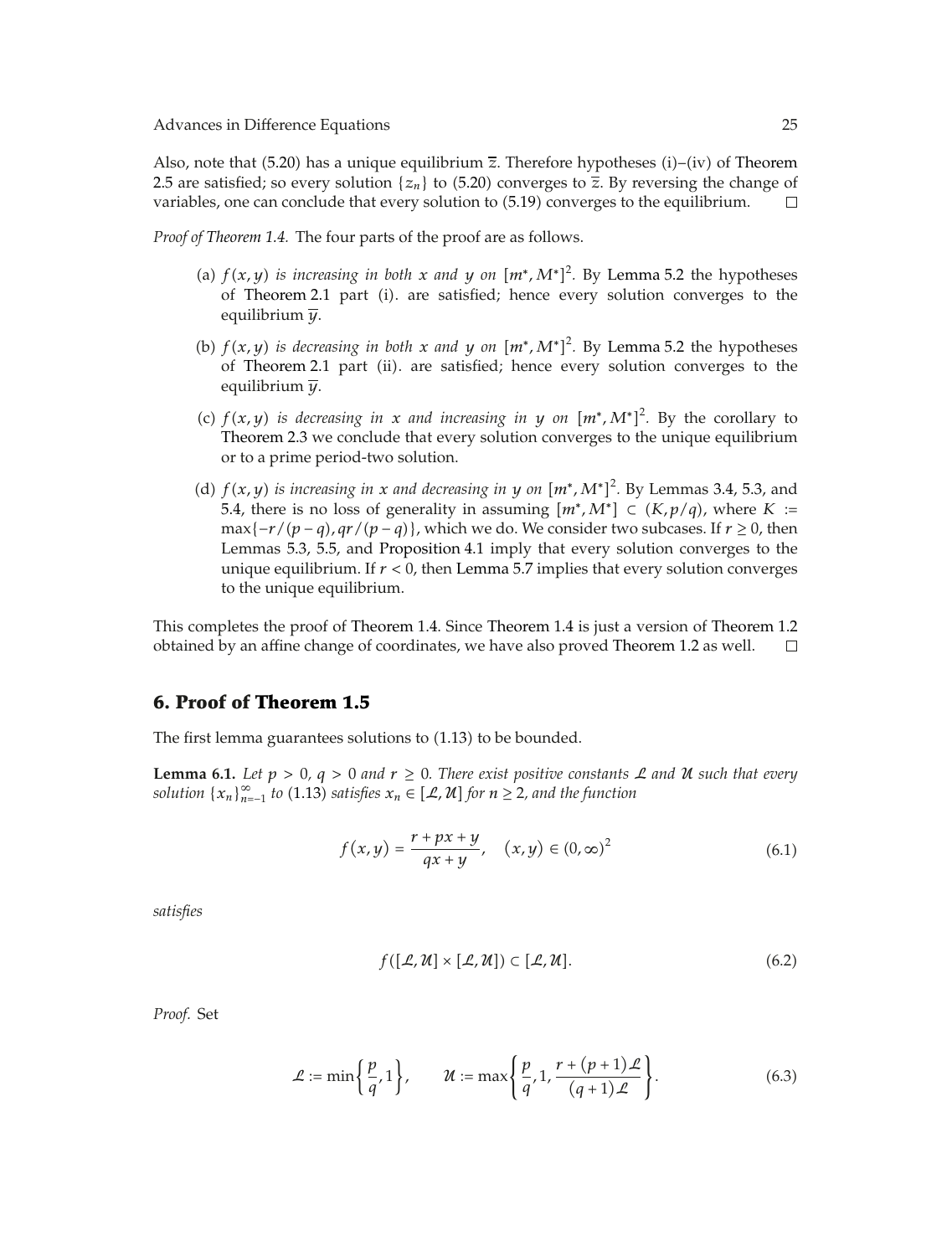Also, note that (5.20) has a unique equilibrium  $\bar{z}$ . Therefore hypotheses (i)–(iv) of Theorem 2.5 are satisfied; so every solution  $\{z_n\}$  to (5.20) converges to  $\overline{z}$ . By reversing the change of variables, one can conclude that every solution to (5.19) converges to the equilibrium. variables, one can conclude that every solution to  $(5.19)$  converges to the equilibrium.

*Proof of Theorem 1.4.* The four parts of the proof are as follows.

- (a)  $f(x, y)$  *is increasing in both x and y on*  $[m^* , M^*]^2$ . By Lemma 5.2 the hypotheses of Theorem 2.1 part (i). are satisfied; hence every solution converges to the equilibrium *y*.
- (b)  $f(x, y)$  *is decreasing in both x and y on*  $[m^*, M^*]^2$ . By Lemma 5.2 the hypotheses of Theorem 2.1 part (ii). are satisfied; hence every solution converges to the equilibrium *y*.
- (c)  $f(x, y)$  *is decreasing in x and increasing in y on*  $[m^*, M^*]^2$ . By the corollary to Theorem 2.3 we conclude that every solution converges to the unique equilibrium or to a prime period-two solution.
- (d)  $f(x, y)$  *is increasing in x and decreasing in y on*  $[m^*, M^*]^2$ . By Lemmas 3.4, 5.3, and 5.4, there is no loss of generality in assuming  $[m^*, M^*]$  ⊂  $(K, p/q)$ , where  $K$  :=  $max{-r/(p-q), qr/(p-q)}$ , which we do. We consider two subcases. If *r* ≥ 0, then Lemmas 5.3, 5.5, and Proposition 4.1 imply that every solution converges to the unique equilibrium. If *r <* 0, then Lemma 5.7 implies that every solution converges to the unique equilibrium.

This completes the proof of Theorem 1.4. Since Theorem 1.4 is just a version of Theorem 1.2 obtained by an affine change of coordinates, we have also proved Theorem 1.2 as well.  $\Box$ 

### **6. Proof of Theorem 1.5**

The first lemma guarantees solutions to  $(1.13)$  to be bounded.

**Lemma 6.1.** *Let*  $p > 0$ ,  $q > 0$  *and*  $r \ge 0$ *. There exist positive constants*  $\mathcal{L}$  *and*  $\mathcal{U}$  *such that every solution*  $\{x_n\}_{n=1}^{\infty}$  *to* (1.13) *satisfies*  $x_n \in [\mathcal{L}, \mathcal{U}]$  *for*  $n \geq 2$ *, and the function* 

$$
f(x,y) = \frac{r + px + y}{qx + y}, \quad (x,y) \in (0,\infty)^2
$$
 (6.1)

*satisfies*

$$
f([\mathcal{L}, \mathcal{U}] \times [\mathcal{L}, \mathcal{U}]) \subset [\mathcal{L}, \mathcal{U}]. \tag{6.2}
$$

*Proof.* Set

$$
\mathcal{L} := \min\left\{\frac{p}{q}, 1\right\}, \qquad \mathcal{U} := \max\left\{\frac{p}{q}, 1, \frac{r + (p + 1)\mathcal{L}}{(q + 1)\mathcal{L}}\right\}.
$$
\n(6.3)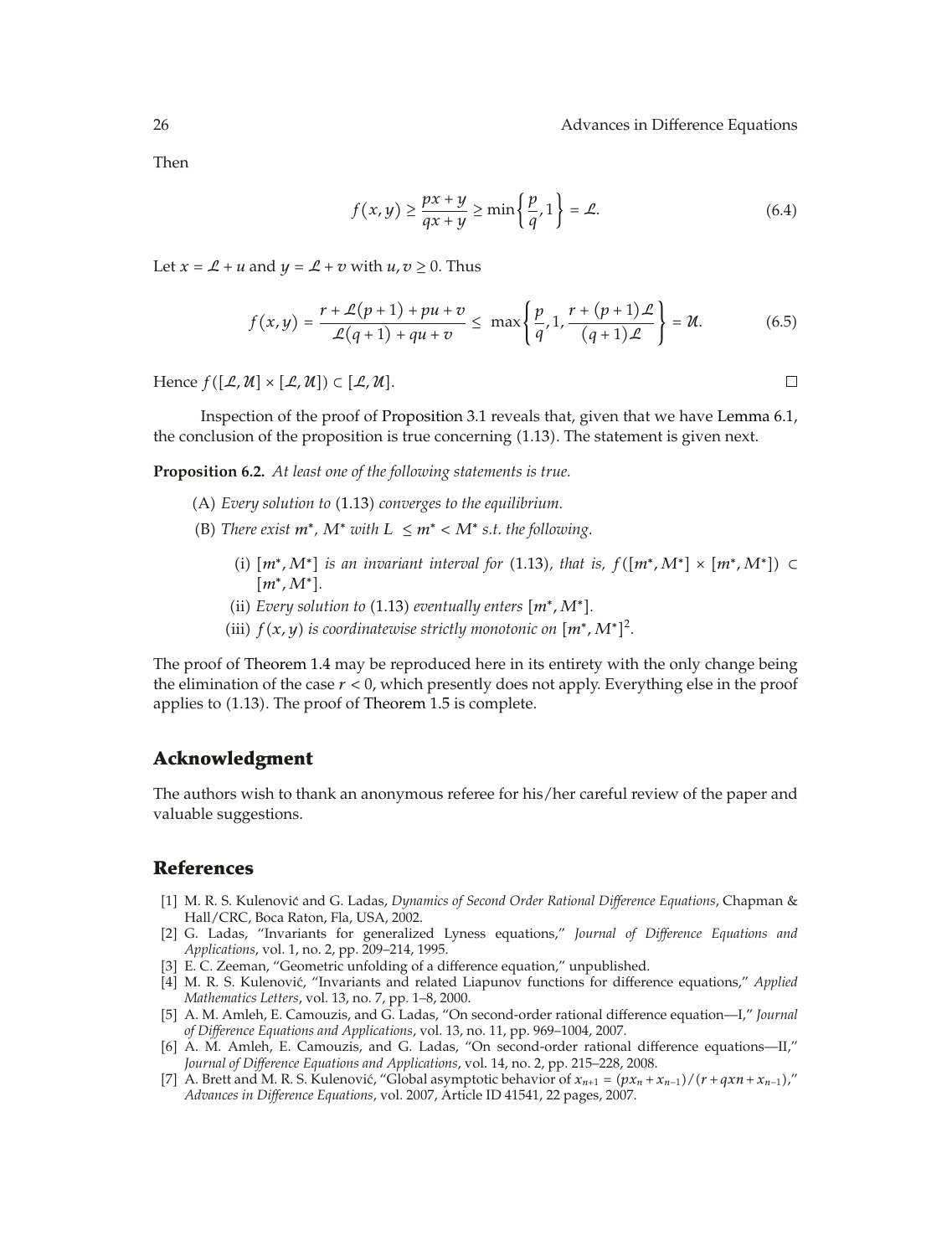$\Box$ 

Then

$$
f(x,y) \ge \frac{px+y}{qx+y} \ge \min\left\{\frac{p}{q},1\right\} = \mathcal{L}.\tag{6.4}
$$

Let  $x = \mathcal{L} + u$  and  $y = \mathcal{L} + v$  with  $u, v \ge 0$ . Thus

$$
f(x,y) = \frac{r + \mathcal{L}(p+1) + pu + v}{\mathcal{L}(q+1) + qu + v} \le \max\left\{\frac{p}{q}, 1, \frac{r + (p+1)\mathcal{L}}{(q+1)\mathcal{L}}\right\} = \mathcal{U}.
$$
 (6.5)

Hence  $f([\mathcal{L}, \mathcal{U}] \times [\mathcal{L}, \mathcal{U}] ) \subset [\mathcal{L}, \mathcal{U}].$ 

Inspection of the proof of Proposition 3.1 reveals that, given that we have Lemma 6.1, the conclusion of the proposition is true concerning 1.13. The statement is given next.

**Proposition 6.2.** *At least one of the following statements is true.*

- A *Every solution to* 1.13 *converges to the equilibrium.*
- (B) There exist  $m^*$ ,  $M^*$  with  $L \leq m^*$  <  $M^*$  s.t. the following.
	- *(i)*  $[m^*, M^*]$  *is an invariant interval for* (1.13*), that is,*  $f([m^*, M^*] \times [m^*, M^*])$  ⊂ *m*∗*,M*∗*.*
	- (ii) *Every solution to* (1.13) *eventually enters*  $[m^*, M^*]$ .
	- (iii)  $f(x, y)$  *is coordinatewise strictly monotonic on*  $[m^*, M^*]^2$ *.*

The proof of Theorem 1.4 may be reproduced here in its entirety with the only change being the elimination of the case *r <* 0, which presently does not apply. Everything else in the proof applies to  $(1.13)$ . The proof of Theorem 1.5 is complete.

### **Acknowledgment**

The authors wish to thank an anonymous referee for his/her careful review of the paper and valuable suggestions.

### **References**

- 1 M. R. S. Kulenovic and G. Ladas, ´ *Dynamics of Second Order Rational Difference Equations*, Chapman & Hall/CRC, Boca Raton, Fla, USA, 2002.
- 2 G. Ladas, "Invariants for generalized Lyness equations," *Journal of Difference Equations and Applications*, vol. 1, no. 2, pp. 209–214, 1995.
- [3] E. C. Zeeman, "Geometric unfolding of a difference equation," unpublished.
- [4] M. R. S. Kulenović, "Invariants and related Liapunov functions for difference equations," *Applied Mathematics Letters*, vol. 13, no. 7, pp. 1–8, 2000.
- 5 A. M. Amleh, E. Camouzis, and G. Ladas, "On second-order rational difference equation—I," *Journal of Difference Equations and Applications*, vol. 13, no. 11, pp. 969–1004, 2007.
- 6 A. M. Amleh, E. Camouzis, and G. Ladas, "On second-order rational difference equations—II," *Journal of Difference Equations and Applications*, vol. 14, no. 2, pp. 215–228, 2008.
- [7] A. Brett and M. R. S. Kulenović, "Global asymptotic behavior of  $x_{n+1} = (px_n + x_{n-1})/(r + qxn + x_{n-1})$ " *Advances in Difference Equations*, vol. 2007, Article ID 41541, 22 pages, 2007.